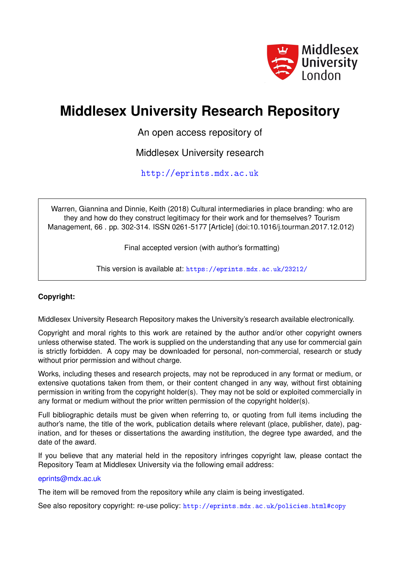

# **Middlesex University Research Repository**

An open access repository of

Middlesex University research

<http://eprints.mdx.ac.uk>

Warren, Giannina and Dinnie, Keith (2018) Cultural intermediaries in place branding: who are they and how do they construct legitimacy for their work and for themselves? Tourism Management, 66 . pp. 302-314. ISSN 0261-5177 [Article] (doi:10.1016/j.tourman.2017.12.012)

Final accepted version (with author's formatting)

This version is available at: <https://eprints.mdx.ac.uk/23212/>

#### **Copyright:**

Middlesex University Research Repository makes the University's research available electronically.

Copyright and moral rights to this work are retained by the author and/or other copyright owners unless otherwise stated. The work is supplied on the understanding that any use for commercial gain is strictly forbidden. A copy may be downloaded for personal, non-commercial, research or study without prior permission and without charge.

Works, including theses and research projects, may not be reproduced in any format or medium, or extensive quotations taken from them, or their content changed in any way, without first obtaining permission in writing from the copyright holder(s). They may not be sold or exploited commercially in any format or medium without the prior written permission of the copyright holder(s).

Full bibliographic details must be given when referring to, or quoting from full items including the author's name, the title of the work, publication details where relevant (place, publisher, date), pagination, and for theses or dissertations the awarding institution, the degree type awarded, and the date of the award.

If you believe that any material held in the repository infringes copyright law, please contact the Repository Team at Middlesex University via the following email address:

#### [eprints@mdx.ac.uk](mailto:eprints@mdx.ac.uk)

The item will be removed from the repository while any claim is being investigated.

See also repository copyright: re-use policy: <http://eprints.mdx.ac.uk/policies.html#copy>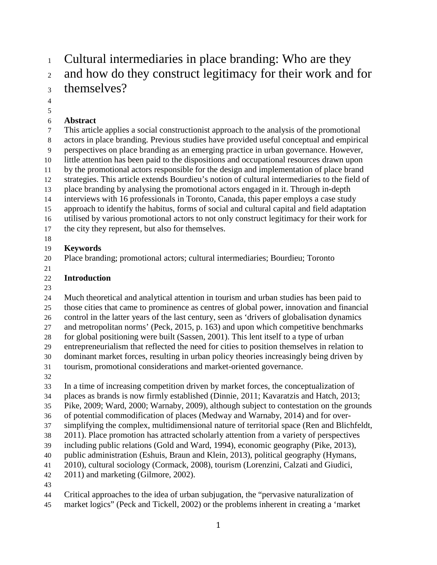Cultural intermediaries in place branding: Who are they

and how do they construct legitimacy for their work and for

3 themselves?

#### 

### **Abstract**

 This article applies a social constructionist approach to the analysis of the promotional actors in place branding. Previous studies have provided useful conceptual and empirical perspectives on place branding as an emerging practice in urban governance. However, little attention has been paid to the dispositions and occupational resources drawn upon by the promotional actors responsible for the design and implementation of place brand strategies. This article extends Bourdieu's notion of cultural intermediaries to the field of place branding by analysing the promotional actors engaged in it. Through in-depth interviews with 16 professionals in Toronto, Canada, this paper employs a case study approach to identify the habitus, forms of social and cultural capital and field adaptation utilised by various promotional actors to not only construct legitimacy for their work for the city they represent, but also for themselves. 

**Keywords**

Place branding; promotional actors; cultural intermediaries; Bourdieu; Toronto

- **Introduction**
- 

 Much theoretical and analytical attention in tourism and urban studies has been paid to those cities that came to prominence as centres of global power, innovation and financial control in the latter years of the last century, seen as 'drivers of globalisation dynamics and metropolitan norms' (Peck, 2015, p. 163) and upon which competitive benchmarks for global positioning were built (Sassen, 2001). This lent itself to a type of urban entrepreneurialism that reflected the need for cities to position themselves in relation to dominant market forces, resulting in urban policy theories increasingly being driven by tourism, promotional considerations and market-oriented governance.

 In a time of increasing competition driven by market forces, the conceptualization of places as brands is now firmly established (Dinnie, 2011; Kavaratzis and Hatch, 2013; Pike, 2009; Ward, 2000; Warnaby, 2009), although subject to contestation on the grounds of potential commodification of places (Medway and Warnaby, 2014) and for over- simplifying the complex, multidimensional nature of territorial space (Ren and Blichfeldt, 2011). Place promotion has attracted scholarly attention from a variety of perspectives including public relations (Gold and Ward, 1994), economic geography (Pike, 2013), public administration (Eshuis, Braun and Klein, 2013), political geography (Hymans, 2010), cultural sociology (Cormack, 2008), tourism (Lorenzini, Calzati and Giudici, 2011) and marketing (Gilmore, 2002).

Critical approaches to the idea of urban subjugation, the "pervasive naturalization of

market logics" (Peck and Tickell, 2002) or the problems inherent in creating a 'market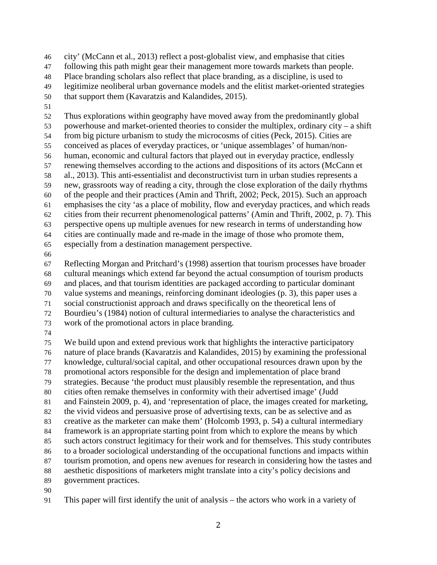city' (McCann et al., 2013) reflect a post-globalist view, and emphasise that cities

following this path might gear their management more towards markets than people.

Place branding scholars also reflect that place branding, as a discipline, is used to

legitimize neoliberal urban governance models and the elitist market-oriented strategies

that support them (Kavaratzis and Kalandides, 2015).

 Thus explorations within geography have moved away from the predominantly global powerhouse and market-oriented theories to consider the multiplex, ordinary city – a shift from big picture urbanism to study the microcosms of cities (Peck, 2015). Cities are conceived as places of everyday practices, or 'unique assemblages' of human/non- human, economic and cultural factors that played out in everyday practice, endlessly renewing themselves according to the actions and dispositions of its actors (McCann et al., 2013). This anti-essentialist and deconstructivist turn in urban studies represents a new, grassroots way of reading a city, through the close exploration of the daily rhythms of the people and their practices (Amin and Thrift, 2002; Peck, 2015). Such an approach emphasises the city 'as a place of mobility, flow and everyday practices, and which reads cities from their recurrent phenomenological patterns' (Amin and Thrift, 2002, p. 7). This perspective opens up multiple avenues for new research in terms of understanding how cities are continually made and re-made in the image of those who promote them, especially from a destination management perspective.

 Reflecting Morgan and Pritchard's (1998) assertion that tourism processes have broader cultural meanings which extend far beyond the actual consumption of tourism products and places, and that tourism identities are packaged according to particular dominant value systems and meanings, reinforcing dominant ideologies (p. 3), this paper uses a social constructionist approach and draws specifically on the theoretical lens of Bourdieu's (1984) notion of cultural intermediaries to analyse the characteristics and work of the promotional actors in place branding.

 We build upon and extend previous work that highlights the interactive participatory nature of place brands (Kavaratzis and Kalandides, 2015) by examining the professional knowledge, cultural/social capital, and other occupational resources drawn upon by the promotional actors responsible for the design and implementation of place brand strategies. Because 'the product must plausibly resemble the representation, and thus cities often remake themselves in conformity with their advertised image' (Judd and Fainstein 2009, p. 4), and 'representation of place, the images created for marketing, the vivid videos and persuasive prose of advertising texts, can be as selective and as creative as the marketer can make them' (Holcomb 1993, p. 54) a cultural intermediary framework is an appropriate starting point from which to explore the means by which such actors construct legitimacy for their work and for themselves. This study contributes to a broader sociological understanding of the occupational functions and impacts within tourism promotion, and opens new avenues for research in considering how the tastes and aesthetic dispositions of marketers might translate into a city's policy decisions and government practices.

This paper will first identify the unit of analysis – the actors who work in a variety of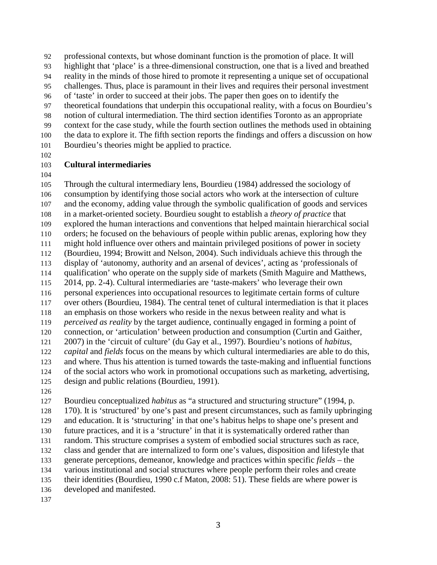professional contexts, but whose dominant function is the promotion of place. It will highlight that 'place' is a three-dimensional construction, one that is a lived and breathed reality in the minds of those hired to promote it representing a unique set of occupational challenges. Thus, place is paramount in their lives and requires their personal investment of 'taste' in order to succeed at their jobs. The paper then goes on to identify the

- theoretical foundations that underpin this occupational reality, with a focus on Bourdieu's
- notion of cultural intermediation. The third section identifies Toronto as an appropriate
- context for the case study, while the fourth section outlines the methods used in obtaining the data to explore it. The fifth section reports the findings and offers a discussion on how
- Bourdieu's theories might be applied to practice.
- 

## **Cultural intermediaries**

 Through the cultural intermediary lens, Bourdieu (1984) addressed the sociology of consumption by identifying those social actors who work at the intersection of culture and the economy, adding value through the symbolic qualification of goods and services in a market-oriented society. Bourdieu sought to establish a *theory of practice* that explored the human interactions and conventions that helped maintain hierarchical social orders; he focused on the behaviours of people within public arenas, exploring how they might hold influence over others and maintain privileged positions of power in society (Bourdieu, 1994; Browitt and Nelson, 2004). Such individuals achieve this through the display of 'autonomy, authority and an arsenal of devices', acting as 'professionals of qualification' who operate on the supply side of markets (Smith Maguire and Matthews, 2014, pp. 2-4). Cultural intermediaries are 'taste-makers' who leverage their own personal experiences into occupational resources to legitimate certain forms of culture over others (Bourdieu, 1984). The central tenet of cultural intermediation is that it places an emphasis on those workers who reside in the nexus between reality and what is *perceived as reality* by the target audience, continually engaged in forming a point of connection, or 'articulation' between production and consumption (Curtin and Gaither, 2007) in the 'circuit of culture' (du Gay et al., 1997). Bourdieu's notions of *habitus*, *capital* and *fields* focus on the means by which cultural intermediaries are able to do this, and where. Thus his attention is turned towards the taste-making and influential functions of the social actors who work in promotional occupations such as marketing, advertising, design and public relations (Bourdieu, 1991).

 Bourdieu conceptualized *habitus* as "a structured and structuring structure" (1994, p. 170). It is 'structured' by one's past and present circumstances, such as family upbringing and education. It is 'structuring' in that one's habitus helps to shape one's present and future practices, and it is a 'structure' in that it is systematically ordered rather than random. This structure comprises a system of embodied social structures such as race, class and gender that are internalized to form one's values, disposition and lifestyle that generate perceptions, demeanor, knowledge and practices within specific *fields –* the various institutional and social structures where people perform their roles and create their identities (Bourdieu, 1990 c.f Maton, 2008: 51). These fields are where power is developed and manifested.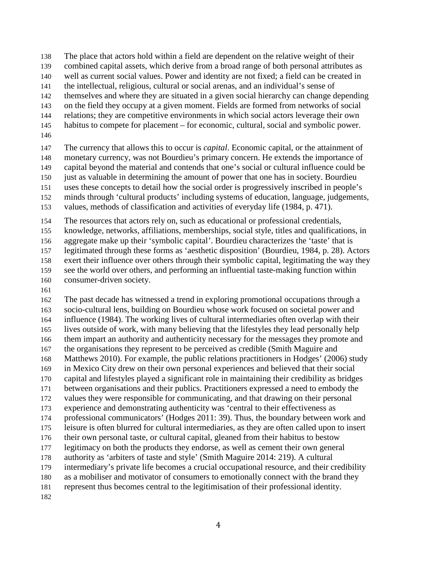The place that actors hold within a field are dependent on the relative weight of their

combined capital assets, which derive from a broad range of both personal attributes as

well as current social values. Power and identity are not fixed; a field can be created in

the intellectual, religious, cultural or social arenas, and an individual's sense of

themselves and where they are situated in a given social hierarchy can change depending

- on the field they occupy at a given moment. Fields are formed from networks of social
- relations; they are competitive environments in which social actors leverage their own
- habitus to compete for placement for economic, cultural, social and symbolic power.
- 

 The currency that allows this to occur is *capital*. Economic capital, or the attainment of monetary currency, was not Bourdieu's primary concern. He extends the importance of capital beyond the material and contends that one's social or cultural influence could be just as valuable in determining the amount of power that one has in society. Bourdieu uses these concepts to detail how the social order is progressively inscribed in people's minds through 'cultural products' including systems of education, language, judgements, values, methods of classification and activities of everyday life (1984, p. 471).

 The resources that actors rely on, such as educational or professional credentials, knowledge, networks, affiliations, memberships, social style, titles and qualifications, in aggregate make up their 'symbolic capital'. Bourdieu characterizes the 'taste' that is legitimated through these forms as 'aesthetic disposition' (Bourdieu, 1984, p. 28). Actors exert their influence over others through their symbolic capital, legitimating the way they see the world over others, and performing an influential taste-making function within

- consumer-driven society.
- 

 The past decade has witnessed a trend in exploring promotional occupations through a socio-cultural lens, building on Bourdieu whose work focused on societal power and influence (1984). The working lives of cultural intermediaries often overlap with their lives outside of work, with many believing that the lifestyles they lead personally help them impart an authority and authenticity necessary for the messages they promote and the organisations they represent to be perceived as credible (Smith Maguire and Matthews 2010). For example, the public relations practitioners in Hodges' (2006) study in Mexico City drew on their own personal experiences and believed that their social capital and lifestyles played a significant role in maintaining their credibility as bridges between organisations and their publics. Practitioners expressed a need to embody the values they were responsible for communicating, and that drawing on their personal experience and demonstrating authenticity was 'central to their effectiveness as professional communicators' (Hodges 2011: 39). Thus, the boundary between work and leisure is often blurred for cultural intermediaries, as they are often called upon to insert their own personal taste, or cultural capital, gleaned from their habitus to bestow legitimacy on both the products they endorse, as well as cement their own general authority as 'arbiters of taste and style' (Smith Maguire 2014: 219). A cultural intermediary's private life becomes a crucial occupational resource, and their credibility as a mobiliser and motivator of consumers to emotionally connect with the brand they represent thus becomes central to the legitimisation of their professional identity.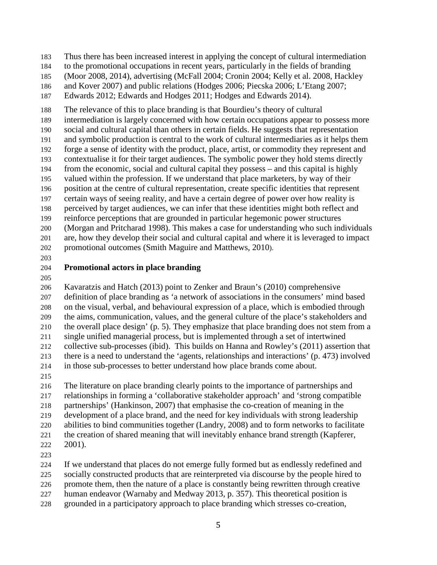Thus there has been increased interest in applying the concept of cultural intermediation

to the promotional occupations in recent years, particularly in the fields of branding

- (Moor 2008, 2014), advertising (McFall 2004; Cronin 2004; Kelly et al. 2008, Hackley
- and Kover 2007) and public relations (Hodges 2006; Piecska 2006; L'Etang 2007;
- Edwards 2012; Edwards and Hodges 2011; Hodges and Edwards 2014).

 The relevance of this to place branding is that Bourdieu's theory of cultural intermediation is largely concerned with how certain occupations appear to possess more social and cultural capital than others in certain fields. He suggests that representation and symbolic production is central to the work of cultural intermediaries as it helps them forge a sense of identity with the product, place, artist, or commodity they represent and contextualise it for their target audiences. The symbolic power they hold stems directly from the economic, social and cultural capital they possess – and this capital is highly valued within the profession. If we understand that place marketers, by way of their position at the centre of cultural representation, create specific identities that represent certain ways of seeing reality, and have a certain degree of power over how reality is perceived by target audiences, we can infer that these identities might both reflect and reinforce perceptions that are grounded in particular hegemonic power structures (Morgan and Pritcharad 1998). This makes a case for understanding who such individuals are, how they develop their social and cultural capital and where it is leveraged to impact promotional outcomes (Smith Maguire and Matthews, 2010).

## **Promotional actors in place branding**

 Kavaratzis and Hatch (2013) point to Zenker and Braun's (2010) comprehensive definition of place branding as 'a network of associations in the consumers' mind based on the visual, verbal, and behavioural expression of a place, which is embodied through the aims, communication, values, and the general culture of the place's stakeholders and the overall place design' (p. 5). They emphasize that place branding does not stem from a single unified managerial process, but is implemented through a set of intertwined collective sub-processes (ibid). This builds on Hanna and Rowley's (2011) assertion that there is a need to understand the 'agents, relationships and interactions' (p. 473) involved in those sub-processes to better understand how place brands come about.

 The literature on place branding clearly points to the importance of partnerships and relationships in forming a 'collaborative stakeholder approach' and 'strong compatible partnerships' (Hankinson, 2007) that emphasise the co-creation of meaning in the development of a place brand, and the need for key individuals with strong leadership abilities to bind communities together (Landry, 2008) and to form networks to facilitate the creation of shared meaning that will inevitably enhance brand strength (Kapferer, 2001).

 If we understand that places do not emerge fully formed but as endlessly redefined and socially constructed products that are reinterpreted via discourse by the people hired to promote them, then the nature of a place is constantly being rewritten through creative

- human endeavor (Warnaby and Medway 2013, p. 357). This theoretical position is
- grounded in a participatory approach to place branding which stresses co-creation,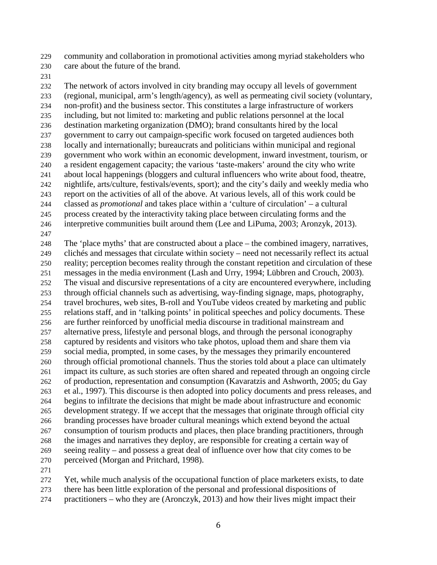community and collaboration in promotional activities among myriad stakeholders who care about the future of the brand.

 The network of actors involved in city branding may occupy all levels of government (regional, municipal, arm's length/agency), as well as permeating civil society (voluntary, non-profit) and the business sector. This constitutes a large infrastructure of workers including, but not limited to: marketing and public relations personnel at the local destination marketing organization (DMO); brand consultants hired by the local government to carry out campaign-specific work focused on targeted audiences both locally and internationally; bureaucrats and politicians within municipal and regional government who work within an economic development, inward investment, tourism, or a resident engagement capacity; the various 'taste-makers' around the city who write about local happenings (bloggers and cultural influencers who write about food, theatre, nightlife, arts/culture, festivals/events, sport); and the city's daily and weekly media who report on the activities of all of the above. At various levels, all of this work could be classed as *promotional* and takes place within a 'culture of circulation' – a cultural process created by the interactivity taking place between circulating forms and the interpretive communities built around them (Lee and LiPuma, 2003; Aronzyk, 2013).

 The 'place myths' that are constructed about a place – the combined imagery, narratives, clichés and messages that circulate within society – need not necessarily reflect its actual reality; perception becomes reality through the constant repetition and circulation of these messages in the media environment (Lash and Urry, 1994; Lübbren and Crouch, 2003). The visual and discursive representations of a city are encountered everywhere, including through official channels such as advertising, way-finding signage, maps, photography, travel brochures, web sites, B-roll and YouTube videos created by marketing and public relations staff, and in 'talking points' in political speeches and policy documents. These are further reinforced by unofficial media discourse in traditional mainstream and alternative press, lifestyle and personal blogs, and through the personal iconography captured by residents and visitors who take photos, upload them and share them via social media, prompted, in some cases, by the messages they primarily encountered through official promotional channels. Thus the stories told about a place can ultimately impact its culture, as such stories are often shared and repeated through an ongoing circle of production, representation and consumption (Kavaratzis and Ashworth, 2005; du Gay et al., 1997). This discourse is then adopted into policy documents and press releases, and begins to infiltrate the decisions that might be made about infrastructure and economic development strategy. If we accept that the messages that originate through official city branding processes have broader cultural meanings which extend beyond the actual consumption of tourism products and places, then place branding practitioners, through the images and narratives they deploy, are responsible for creating a certain way of seeing reality – and possess a great deal of influence over how that city comes to be perceived (Morgan and Pritchard, 1998).

Yet, while much analysis of the occupational function of place marketers exists, to date

there has been little exploration of the personal and professional dispositions of

practitioners – who they are (Aronczyk, 2013) and how their lives might impact their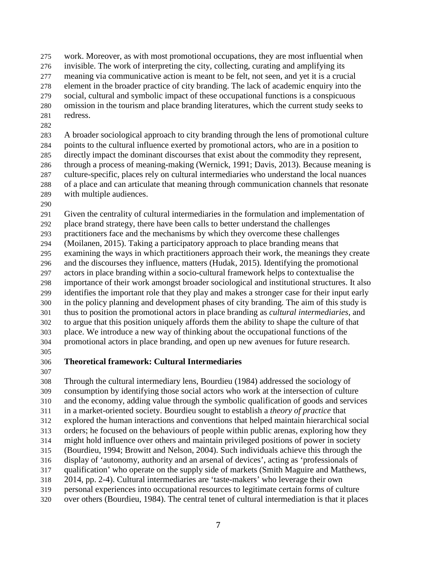work. Moreover, as with most promotional occupations, they are most influential when

invisible. The work of interpreting the city, collecting, curating and amplifying its

meaning via communicative action is meant to be felt, not seen, and yet it is a crucial

 element in the broader practice of city branding. The lack of academic enquiry into the social, cultural and symbolic impact of these occupational functions is a conspicuous omission in the tourism and place branding literatures, which the current study seeks to redress.

 A broader sociological approach to city branding through the lens of promotional culture points to the cultural influence exerted by promotional actors, who are in a position to directly impact the dominant discourses that exist about the commodity they represent, through a process of meaning-making (Wernick, 1991; Davis, 2013). Because meaning is culture-specific, places rely on cultural intermediaries who understand the local nuances of a place and can articulate that meaning through communication channels that resonate with multiple audiences.

 Given the centrality of cultural intermediaries in the formulation and implementation of place brand strategy, there have been calls to better understand the challenges practitioners face and the mechanisms by which they overcome these challenges (Moilanen, 2015). Taking a participatory approach to place branding means that examining the ways in which practitioners approach their work, the meanings they create and the discourses they influence, matters (Hudak, 2015). Identifying the promotional actors in place branding within a socio-cultural framework helps to contextualise the importance of their work amongst broader sociological and institutional structures. It also identifies the important role that they play and makes a stronger case for their input early in the policy planning and development phases of city branding. The aim of this study is thus to position the promotional actors in place branding as *cultural intermediaries*, and to argue that this position uniquely affords them the ability to shape the culture of that place. We introduce a new way of thinking about the occupational functions of the promotional actors in place branding, and open up new avenues for future research.

## **Theoretical framework: Cultural Intermediaries**

 Through the cultural intermediary lens, Bourdieu (1984) addressed the sociology of consumption by identifying those social actors who work at the intersection of culture and the economy, adding value through the symbolic qualification of goods and services in a market-oriented society. Bourdieu sought to establish a *theory of practice* that explored the human interactions and conventions that helped maintain hierarchical social orders; he focused on the behaviours of people within public arenas, exploring how they might hold influence over others and maintain privileged positions of power in society (Bourdieu, 1994; Browitt and Nelson, 2004). Such individuals achieve this through the display of 'autonomy, authority and an arsenal of devices', acting as 'professionals of qualification' who operate on the supply side of markets (Smith Maguire and Matthews, 2014, pp. 2-4). Cultural intermediaries are 'taste-makers' who leverage their own personal experiences into occupational resources to legitimate certain forms of culture over others (Bourdieu, 1984). The central tenet of cultural intermediation is that it places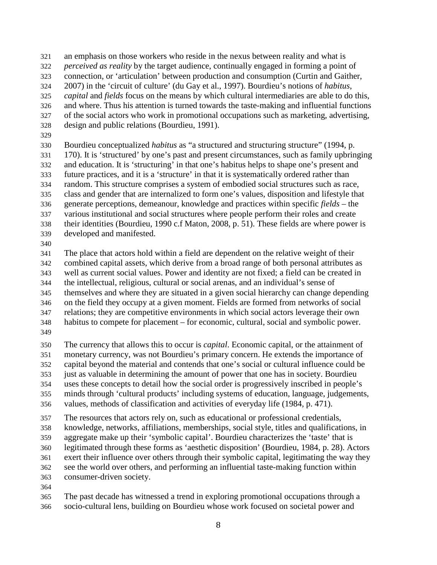an emphasis on those workers who reside in the nexus between reality and what is *perceived as reality* by the target audience, continually engaged in forming a point of

- connection, or 'articulation' between production and consumption (Curtin and Gaither,
- 2007) in the 'circuit of culture' (du Gay et al., 1997). Bourdieu's notions of *habitus*,
- *capital* and *fields* focus on the means by which cultural intermediaries are able to do this,

 and where. Thus his attention is turned towards the taste-making and influential functions of the social actors who work in promotional occupations such as marketing, advertising,

- design and public relations (Bourdieu, 1991).
- 

 Bourdieu conceptualized *habitus* as "a structured and structuring structure" (1994, p. 170). It is 'structured' by one's past and present circumstances, such as family upbringing and education. It is 'structuring' in that one's habitus helps to shape one's present and future practices, and it is a 'structure' in that it is systematically ordered rather than random. This structure comprises a system of embodied social structures such as race,

 class and gender that are internalized to form one's values, disposition and lifestyle that generate perceptions, demeanour, knowledge and practices within specific *fields –* the various institutional and social structures where people perform their roles and create their identities (Bourdieu, 1990 c.f Maton, 2008, p. 51). These fields are where power is developed and manifested.

 The place that actors hold within a field are dependent on the relative weight of their combined capital assets, which derive from a broad range of both personal attributes as well as current social values. Power and identity are not fixed; a field can be created in the intellectual, religious, cultural or social arenas, and an individual's sense of themselves and where they are situated in a given social hierarchy can change depending on the field they occupy at a given moment. Fields are formed from networks of social relations; they are competitive environments in which social actors leverage their own habitus to compete for placement – for economic, cultural, social and symbolic power. 

 The currency that allows this to occur is *capital*. Economic capital, or the attainment of monetary currency, was not Bourdieu's primary concern. He extends the importance of capital beyond the material and contends that one's social or cultural influence could be just as valuable in determining the amount of power that one has in society. Bourdieu uses these concepts to detail how the social order is progressively inscribed in people's minds through 'cultural products' including systems of education, language, judgements, values, methods of classification and activities of everyday life (1984, p. 471).

 The resources that actors rely on, such as educational or professional credentials, knowledge, networks, affiliations, memberships, social style, titles and qualifications, in aggregate make up their 'symbolic capital'. Bourdieu characterizes the 'taste' that is legitimated through these forms as 'aesthetic disposition' (Bourdieu, 1984, p. 28). Actors exert their influence over others through their symbolic capital, legitimating the way they see the world over others, and performing an influential taste-making function within consumer-driven society.

 The past decade has witnessed a trend in exploring promotional occupations through a socio-cultural lens, building on Bourdieu whose work focused on societal power and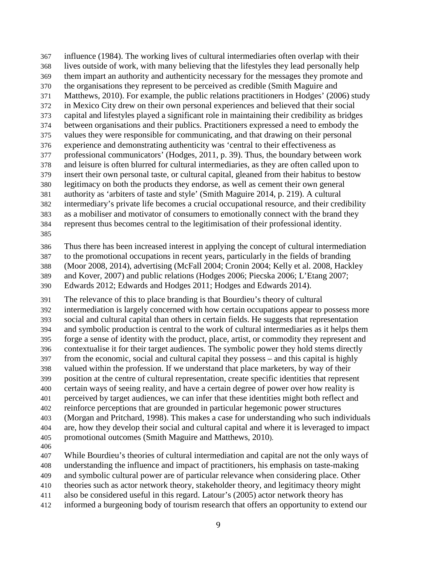influence (1984). The working lives of cultural intermediaries often overlap with their lives outside of work, with many believing that the lifestyles they lead personally help them impart an authority and authenticity necessary for the messages they promote and the organisations they represent to be perceived as credible (Smith Maguire and Matthews, 2010). For example, the public relations practitioners in Hodges' (2006) study in Mexico City drew on their own personal experiences and believed that their social capital and lifestyles played a significant role in maintaining their credibility as bridges between organisations and their publics. Practitioners expressed a need to embody the values they were responsible for communicating, and that drawing on their personal experience and demonstrating authenticity was 'central to their effectiveness as professional communicators' (Hodges, 2011, p. 39). Thus, the boundary between work and leisure is often blurred for cultural intermediaries, as they are often called upon to insert their own personal taste, or cultural capital, gleaned from their habitus to bestow legitimacy on both the products they endorse, as well as cement their own general authority as 'arbiters of taste and style' (Smith Maguire 2014, p. 219). A cultural intermediary's private life becomes a crucial occupational resource, and their credibility as a mobiliser and motivator of consumers to emotionally connect with the brand they represent thus becomes central to the legitimisation of their professional identity. 

 Thus there has been increased interest in applying the concept of cultural intermediation to the promotional occupations in recent years, particularly in the fields of branding (Moor 2008, 2014), advertising (McFall 2004; Cronin 2004; Kelly et al. 2008, Hackley and Kover, 2007) and public relations (Hodges 2006; Piecska 2006; L'Etang 2007; Edwards 2012; Edwards and Hodges 2011; Hodges and Edwards 2014).

 The relevance of this to place branding is that Bourdieu's theory of cultural intermediation is largely concerned with how certain occupations appear to possess more social and cultural capital than others in certain fields. He suggests that representation and symbolic production is central to the work of cultural intermediaries as it helps them forge a sense of identity with the product, place, artist, or commodity they represent and contextualise it for their target audiences. The symbolic power they hold stems directly from the economic, social and cultural capital they possess – and this capital is highly valued within the profession. If we understand that place marketers, by way of their position at the centre of cultural representation, create specific identities that represent certain ways of seeing reality, and have a certain degree of power over how reality is perceived by target audiences, we can infer that these identities might both reflect and reinforce perceptions that are grounded in particular hegemonic power structures (Morgan and Pritchard, 1998). This makes a case for understanding who such individuals are, how they develop their social and cultural capital and where it is leveraged to impact promotional outcomes (Smith Maguire and Matthews, 2010).

 While Bourdieu's theories of cultural intermediation and capital are not the only ways of understanding the influence and impact of practitioners, his emphasis on taste-making and symbolic cultural power are of particular relevance when considering place. Other theories such as actor network theory, stakeholder theory, and legitimacy theory might also be considered useful in this regard. Latour's (2005) actor network theory has

informed a burgeoning body of tourism research that offers an opportunity to extend our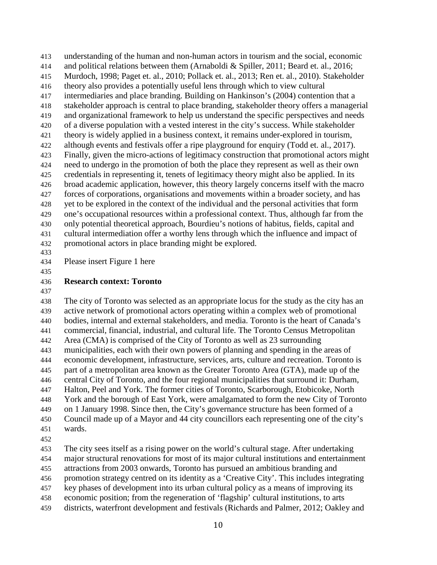understanding of the human and non-human actors in tourism and the social, economic and political relations between them (Arnaboldi & Spiller, 2011; Beard et. al., 2016; Murdoch, 1998; Paget et. al., 2010; Pollack et. al., 2013; Ren et. al., 2010). Stakeholder theory also provides a potentially useful lens through which to view cultural intermediaries and place branding. Building on Hankinson's (2004) contention that a stakeholder approach is central to place branding, stakeholder theory offers a managerial and organizational framework to help us understand the specific perspectives and needs of a diverse population with a vested interest in the city's success. While stakeholder theory is widely applied in a business context, it remains under-explored in tourism, although events and festivals offer a ripe playground for enquiry (Todd et. al., 2017). Finally, given the micro-actions of legitimacy construction that promotional actors might need to undergo in the promotion of both the place they represent as well as their own credentials in representing it, tenets of legitimacy theory might also be applied. In its broad academic application, however, this theory largely concerns itself with the macro forces of corporations, organisations and movements within a broader society, and has yet to be explored in the context of the individual and the personal activities that form one's occupational resources within a professional context. Thus, although far from the only potential theoretical approach, Bourdieu's notions of habitus, fields, capital and cultural intermediation offer a worthy lens through which the influence and impact of promotional actors in place branding might be explored.

Please insert Figure 1 here

#### **Research context: Toronto**

 The city of Toronto was selected as an appropriate locus for the study as the city has an active network of promotional actors operating within a complex web of promotional bodies, internal and external stakeholders, and media. Toronto is the heart of Canada's commercial, financial, industrial, and cultural life. The Toronto Census Metropolitan Area (CMA) is comprised of the City of Toronto as well as 23 surrounding municipalities, each with their own powers of planning and spending in the areas of economic development, infrastructure, services, arts, culture and recreation. Toronto is part of a metropolitan area known as the Greater Toronto Area (GTA), made up of the central City of Toronto, and the four regional municipalities that surround it: Durham, Halton, Peel and York. The former cities of Toronto, Scarborough, Etobicoke, North York and the borough of East York, were amalgamated to form the new City of Toronto on 1 January 1998. Since then, the City's governance structure has been formed of a Council made up of a Mayor and 44 city councillors each representing one of the city's wards.

 The city sees itself as a rising power on the world's cultural stage. After undertaking major structural renovations for most of its major cultural institutions and entertainment attractions from 2003 onwards, Toronto has pursued an ambitious branding and promotion strategy centred on its identity as a 'Creative City'. This includes integrating key phases of development into its urban cultural policy as a means of improving its economic position; from the regeneration of 'flagship' cultural institutions, to arts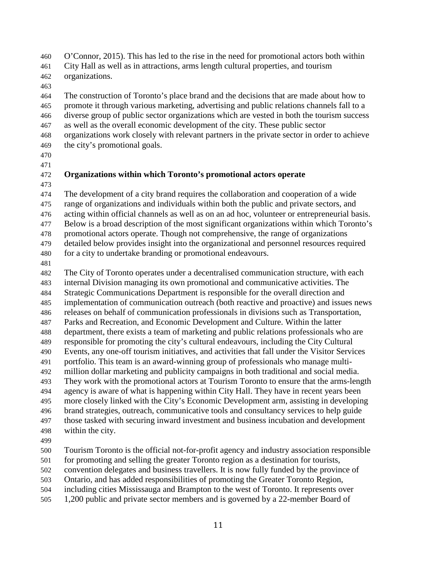O'Connor, 2015). This has led to the rise in the need for promotional actors both within

- City Hall as well as in attractions, arms length cultural properties, and tourism organizations.
- 

 The construction of Toronto's place brand and the decisions that are made about how to promote it through various marketing, advertising and public relations channels fall to a diverse group of public sector organizations which are vested in both the tourism success as well as the overall economic development of the city. These public sector organizations work closely with relevant partners in the private sector in order to achieve the city's promotional goals.

 

## **Organizations within which Toronto's promotional actors operate**

 The development of a city brand requires the collaboration and cooperation of a wide range of organizations and individuals within both the public and private sectors, and acting within official channels as well as on an ad hoc, volunteer or entrepreneurial basis. Below is a broad description of the most significant organizations within which Toronto's promotional actors operate. Though not comprehensive, the range of organizations detailed below provides insight into the organizational and personnel resources required 480 for a city to undertake branding or promotional endeavours.

 The City of Toronto operates under a decentralised communication structure, with each internal Division managing its own promotional and communicative activities. The Strategic Communications Department is responsible for the overall direction and implementation of communication outreach (both reactive and proactive) and issues news releases on behalf of communication professionals in divisions such as Transportation, Parks and Recreation, and Economic Development and Culture. Within the latter department, there exists a team of marketing and public relations professionals who are responsible for promoting the city's cultural endeavours, including the City Cultural Events, any one-off tourism initiatives, and activities that fall under the Visitor Services portfolio. This team is an award-winning group of professionals who manage multi- million dollar marketing and publicity campaigns in both traditional and social media. They work with the promotional actors at Tourism Toronto to ensure that the arms-length agency is aware of what is happening within City Hall. They have in recent years been more closely linked with the City's Economic Development arm, assisting in developing brand strategies, outreach, communicative tools and consultancy services to help guide those tasked with securing inward investment and business incubation and development within the city.

Tourism Toronto is the official not-for-profit agency and industry association responsible

for promoting and selling the greater Toronto region as a destination for tourists,

convention delegates and business travellers. It is now fully funded by the province of

Ontario, and has added responsibilities of promoting the Greater Toronto Region,

including cities Mississauga and Brampton to the west of Toronto. It represents over

1,200 public and private sector members and is governed by a 22-member Board of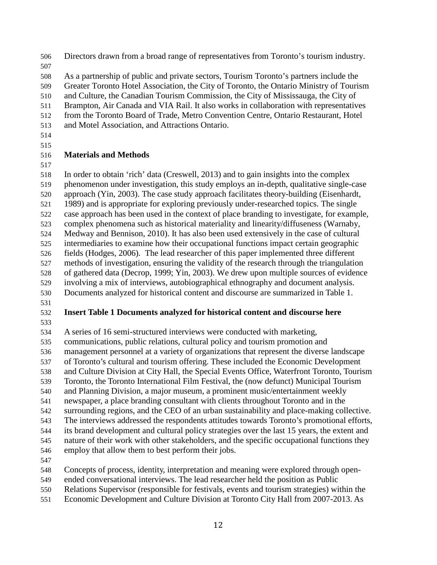Directors drawn from a broad range of representatives from Toronto's tourism industry. 

 As a partnership of public and private sectors, Tourism Toronto's partners include the Greater Toronto Hotel Association, the City of Toronto, the Ontario Ministry of Tourism and Culture, the Canadian Tourism Commission, the City of Mississauga, the City of Brampton, Air Canada and VIA Rail. It also works in collaboration with representatives from the Toronto Board of Trade, Metro Convention Centre, Ontario Restaurant, Hotel

- and Motel Association, and Attractions Ontario.
- 
- 

#### **Materials and Methods**

 In order to obtain 'rich' data (Creswell, 2013) and to gain insights into the complex phenomenon under investigation, this study employs an in-depth, qualitative single-case approach (Yin, 2003). The case study approach facilitates theory-building (Eisenhardt, 1989) and is appropriate for exploring previously under-researched topics. The single case approach has been used in the context of place branding to investigate, for example, complex phenomena such as historical materiality and linearity/diffuseness (Warnaby, Medway and Bennison, 2010). It has also been used extensively in the case of cultural intermediaries to examine how their occupational functions impact certain geographic fields (Hodges, 2006). The lead researcher of this paper implemented three different methods of investigation, ensuring the validity of the research through the triangulation of gathered data (Decrop, 1999; Yin, 2003). We drew upon multiple sources of evidence involving a mix of interviews, autobiographical ethnography and document analysis. Documents analyzed for historical content and discourse are summarized in Table 1.

# **Insert Table 1 Documents analyzed for historical content and discourse here**

A series of 16 semi-structured interviews were conducted with marketing,

communications, public relations, cultural policy and tourism promotion and

- management personnel at a variety of organizations that represent the diverse landscape
- of Toronto's cultural and tourism offering. These included the Economic Development
- and Culture Division at City Hall, the Special Events Office, Waterfront Toronto, Tourism
- Toronto, the Toronto International Film Festival, the (now defunct) Municipal Tourism
- and Planning Division, a major museum, a prominent music/entertainment weekly
- newspaper, a place branding consultant with clients throughout Toronto and in the
- surrounding regions, and the CEO of an urban sustainability and place-making collective.
- The interviews addressed the respondents attitudes towards Toronto's promotional efforts, its brand development and cultural policy strategies over the last 15 years, the extent and
- nature of their work with other stakeholders, and the specific occupational functions they employ that allow them to best perform their jobs.
- 

Concepts of process, identity, interpretation and meaning were explored through open-

- ended conversational interviews. The lead researcher held the position as Public
- Relations Supervisor (responsible for festivals, events and tourism strategies) within the
- Economic Development and Culture Division at Toronto City Hall from 2007-2013. As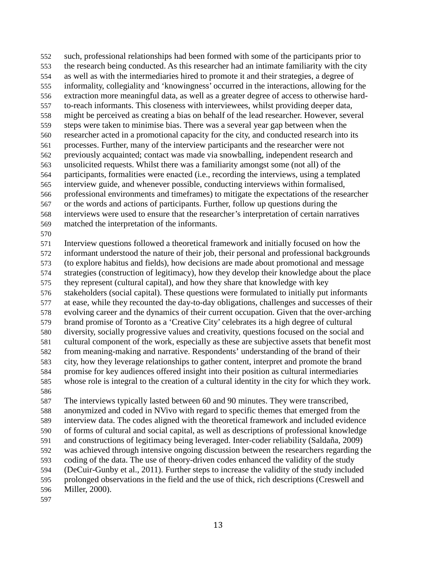such, professional relationships had been formed with some of the participants prior to the research being conducted. As this researcher had an intimate familiarity with the city as well as with the intermediaries hired to promote it and their strategies, a degree of informality, collegiality and 'knowingness' occurred in the interactions, allowing for the extraction more meaningful data, as well as a greater degree of access to otherwise hard- to-reach informants. This closeness with interviewees, whilst providing deeper data, might be perceived as creating a bias on behalf of the lead researcher. However, several steps were taken to minimise bias. There was a several year gap between when the researcher acted in a promotional capacity for the city, and conducted research into its processes. Further, many of the interview participants and the researcher were not previously acquainted; contact was made via snowballing, independent research and unsolicited requests. Whilst there was a familiarity amongst some (not all) of the participants, formalities were enacted (i.e., recording the interviews, using a templated interview guide, and whenever possible, conducting interviews within formalised, professional environments and timeframes) to mitigate the expectations of the researcher or the words and actions of participants. Further, follow up questions during the interviews were used to ensure that the researcher's interpretation of certain narratives matched the interpretation of the informants.

 Interview questions followed a theoretical framework and initially focused on how the informant understood the nature of their job, their personal and professional backgrounds (to explore habitus and fields), how decisions are made about promotional and message strategies (construction of legitimacy), how they develop their knowledge about the place they represent (cultural capital), and how they share that knowledge with key stakeholders (social capital). These questions were formulated to initially put informants at ease, while they recounted the day-to-day obligations, challenges and successes of their evolving career and the dynamics of their current occupation. Given that the over-arching brand promise of Toronto as a 'Creative City' celebrates its a high degree of cultural diversity, socially progressive values and creativity, questions focused on the social and cultural component of the work, especially as these are subjective assets that benefit most from meaning-making and narrative. Respondents' understanding of the brand of their city, how they leverage relationships to gather content, interpret and promote the brand promise for key audiences offered insight into their position as cultural intermediaries whose role is integral to the creation of a cultural identity in the city for which they work. 

 The interviews typically lasted between 60 and 90 minutes. They were transcribed, anonymized and coded in NVivo with regard to specific themes that emerged from the interview data. The codes aligned with the theoretical framework and included evidence of forms of cultural and social capital, as well as descriptions of professional knowledge and constructions of legitimacy being leveraged. Inter-coder reliability (Saldaña, 2009) was achieved through intensive ongoing discussion between the researchers regarding the coding of the data. The use of theory-driven codes enhanced the validity of the study (DeCuir-Gunby et al., 2011). Further steps to increase the validity of the study included prolonged observations in the field and the use of thick, rich descriptions (Creswell and Miller, 2000).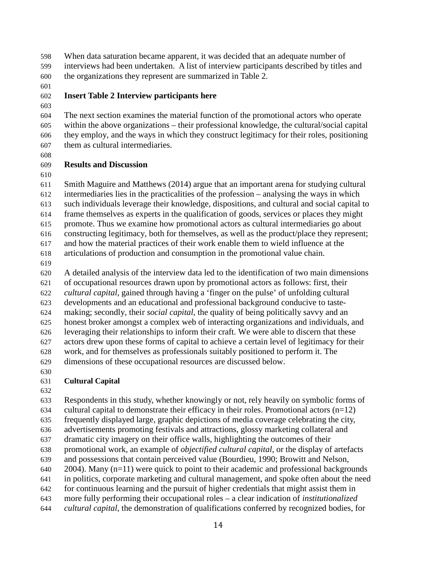When data saturation became apparent, it was decided that an adequate number of interviews had been undertaken. A list of interview participants described by titles and the organizations they represent are summarized in Table 2.

## **Insert Table 2 Interview participants here**

 The next section examines the material function of the promotional actors who operate within the above organizations – their professional knowledge, the cultural/social capital they employ, and the ways in which they construct legitimacy for their roles, positioning them as cultural intermediaries.

## **Results and Discussion**

 Smith Maguire and Matthews (2014) argue that an important arena for studying cultural intermediaries lies in the practicalities of the profession – analysing the ways in which such individuals leverage their knowledge, dispositions, and cultural and social capital to frame themselves as experts in the qualification of goods, services or places they might promote. Thus we examine how promotional actors as cultural intermediaries go about constructing legitimacy, both for themselves, as well as the product/place they represent; and how the material practices of their work enable them to wield influence at the articulations of production and consumption in the promotional value chain.

 A detailed analysis of the interview data led to the identification of two main dimensions of occupational resources drawn upon by promotional actors as follows: first, their *cultural capital,* gained through having a 'finger on the pulse' of unfolding cultural developments and an educational and professional background conducive to taste- making; secondly, their *social capital*, the quality of being politically savvy and an honest broker amongst a complex web of interacting organizations and individuals, and leveraging their relationships to inform their craft. We were able to discern that these actors drew upon these forms of capital to achieve a certain level of legitimacy for their work, and for themselves as professionals suitably positioned to perform it. The dimensions of these occupational resources are discussed below. 

- **Cultural Capital**
- 

 Respondents in this study, whether knowingly or not, rely heavily on symbolic forms of 634 cultural capital to demonstrate their efficacy in their roles. Promotional actors  $(n=12)$  frequently displayed large, graphic depictions of media coverage celebrating the city, advertisements promoting festivals and attractions, glossy marketing collateral and dramatic city imagery on their office walls, highlighting the outcomes of their promotional work, an example of *objectified cultural capital*, or the display of artefacts and possessions that contain perceived value (Bourdieu, 1990; Browitt and Nelson, 2004). Many  $(n=11)$  were quick to point to their academic and professional backgrounds in politics, corporate marketing and cultural management, and spoke often about the need for continuous learning and the pursuit of higher credentials that might assist them in more fully performing their occupational roles – a clear indication of *institutionalized* 

*cultural capital*, the demonstration of qualifications conferred by recognized bodies, for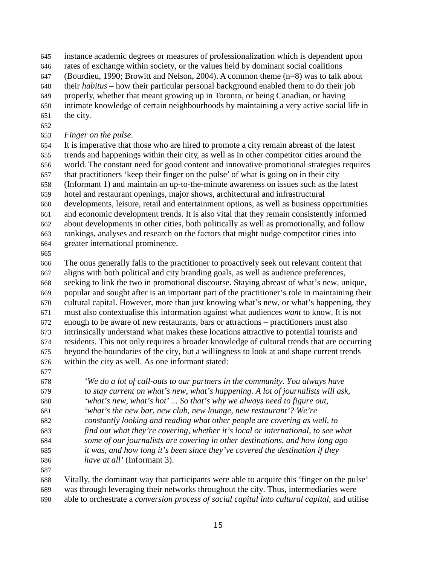- instance academic degrees or measures of professionalization which is dependent upon
- rates of exchange within society, or the values held by dominant social coalitions
- (Bourdieu, 1990; Browitt and Nelson, 2004). A common theme (n=8) was to talk about
- their *habitus*  how their particular personal background enabled them to do their job
- properly, whether that meant growing up in Toronto, or being Canadian, or having
- intimate knowledge of certain neighbourhoods by maintaining a very active social life in the city.
- 
- *Finger on the pulse*.

 It is imperative that those who are hired to promote a city remain abreast of the latest trends and happenings within their city, as well as in other competitor cities around the world. The constant need for good content and innovative promotional strategies requires that practitioners 'keep their finger on the pulse' of what is going on in their city (Informant 1) and maintain an up-to-the-minute awareness on issues such as the latest hotel and restaurant openings, major shows, architectural and infrastructural developments, leisure, retail and entertainment options, as well as business opportunities and economic development trends. It is also vital that they remain consistently informed about developments in other cities, both politically as well as promotionally, and follow rankings, analyses and research on the factors that might nudge competitor cities into greater international prominence.

 The onus generally falls to the practitioner to proactively seek out relevant content that aligns with both political and city branding goals, as well as audience preferences, seeking to link the two in promotional discourse. Staying abreast of what's new, unique, popular and sought after is an important part of the practitioner's role in maintaining their cultural capital. However, more than just knowing what's new, or what's happening, they must also contextualise this information against what audiences *want* to know. It is not enough to be aware of new restaurants, bars or attractions – practitioners must also intrinsically understand what makes these locations attractive to potential tourists and residents. This not only requires a broader knowledge of cultural trends that are occurring beyond the boundaries of the city, but a willingness to look at and shape current trends within the city as well. As one informant stated:

 *'We do a lot of call-outs to our partners in the community. You always have to stay current on what's new, what's happening. A lot of journalists will ask, 'what's new, what's hot' ... So that's why we always need to figure out, 'what's the new bar, new club, new lounge, new restaurant'? We're constantly looking and reading what other people are covering as well, to find out what they're covering, whether it's local or international, to see what some of our journalists are covering in other destinations, and how long ago it was, and how long it's been since they've covered the destination if they have at all'* (Informant 3).

 Vitally, the dominant way that participants were able to acquire this 'finger on the pulse' was through leveraging their networks throughout the city. Thus, intermediaries were able to orchestrate a *conversion process of social capital into cultural capital*, and utilise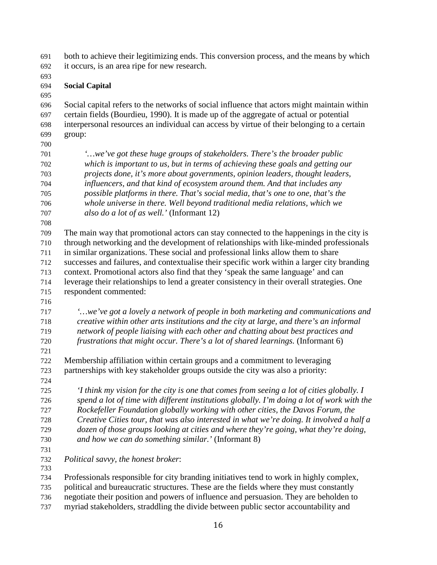both to achieve their legitimizing ends. This conversion process, and the means by which it occurs, is an area ripe for new research.

#### **Social Capital**

 Social capital refers to the networks of social influence that actors might maintain within certain fields (Bourdieu, 1990). It is made up of the aggregate of actual or potential interpersonal resources an individual can access by virtue of their belonging to a certain group:

- 
- 
- 
- 
- 
- 

 *'…we've got these huge groups of stakeholders. There's the broader public which is important to us, but in terms of achieving these goals and getting our projects done, it's more about governments, opinion leaders, thought leaders, influencers, and that kind of ecosystem around them. And that includes any possible platforms in there. That's social media, that's one to one, that's the whole universe in there. Well beyond traditional media relations, which we also do a lot of as well.'* (Informant 12)

 The main way that promotional actors can stay connected to the happenings in the city is through networking and the development of relationships with like-minded professionals in similar organizations. These social and professional links allow them to share successes and failures, and contextualise their specific work within a larger city branding context. Promotional actors also find that they 'speak the same language' and can leverage their relationships to lend a greater consistency in their overall strategies. One respondent commented:

 *'…we've got a lovely a network of people in both marketing and communications and creative within other arts institutions and the city at large, and there's an informal network of people liaising with each other and chatting about best practices and frustrations that might occur. There's a lot of shared learnings.* (Informant 6)

 Membership affiliation within certain groups and a commitment to leveraging partnerships with key stakeholder groups outside the city was also a priority:

 *'I think my vision for the city is one that comes from seeing a lot of cities globally. I spend a lot of time with different institutions globally. I'm doing a lot of work with the Rockefeller Foundation globally working with other cities, the Davos Forum, the Creative Cities tour, that was also interested in what we're doing. It involved a half a dozen of those groups looking at cities and where they're going, what they're doing, and how we can do something similar.'* (Informant 8)

*Political savvy, the honest broker*:

 Professionals responsible for city branding initiatives tend to work in highly complex, political and bureaucratic structures. These are the fields where they must constantly negotiate their position and powers of influence and persuasion. They are beholden to myriad stakeholders, straddling the divide between public sector accountability and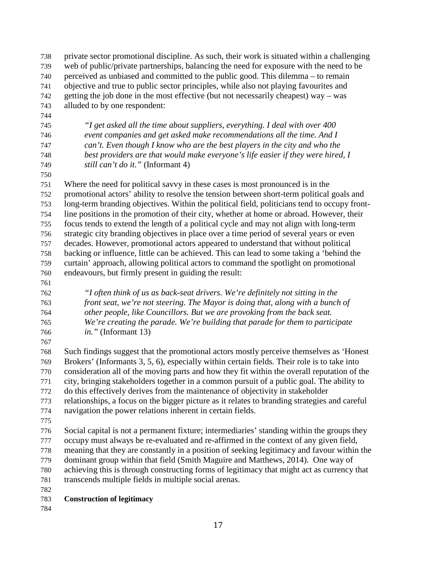private sector promotional discipline. As such, their work is situated within a challenging web of public/private partnerships, balancing the need for exposure with the need to be perceived as unbiased and committed to the public good. This dilemma – to remain objective and true to public sector principles, while also not playing favourites and getting the job done in the most effective (but not necessarily cheapest) way – was alluded to by one respondent:

*"I get asked all the time about suppliers, everything. I deal with over 400* 

- 
- *event companies and get asked make recommendations all the time. And I can't. Even though I know who are the best players in the city and who the*
- *best providers are that would make everyone's life easier if they were hired, I*

 *still can't do it."* (Informant 4) 

 Where the need for political savvy in these cases is most pronounced is in the promotional actors' ability to resolve the tension between short-term political goals and long-term branding objectives. Within the political field, politicians tend to occupy front- line positions in the promotion of their city, whether at home or abroad. However, their focus tends to extend the length of a political cycle and may not align with long-term strategic city branding objectives in place over a time period of several years or even decades. However, promotional actors appeared to understand that without political backing or influence, little can be achieved. This can lead to some taking a 'behind the curtain' approach, allowing political actors to command the spotlight on promotional endeavours, but firmly present in guiding the result:

 *"I often think of us as back-seat drivers. We're definitely not sitting in the front seat, we're not steering. The Mayor is doing that, along with a bunch of other people, like Councillors. But we are provoking from the back seat. We're creating the parade. We're building that parade for them to participate in."* (Informant 13)

 Such findings suggest that the promotional actors mostly perceive themselves as 'Honest Brokers' (Informants 3, 5, 6), especially within certain fields. Their role is to take into consideration all of the moving parts and how they fit within the overall reputation of the city, bringing stakeholders together in a common pursuit of a public goal. The ability to do this effectively derives from the maintenance of objectivity in stakeholder relationships, a focus on the bigger picture as it relates to branding strategies and careful navigation the power relations inherent in certain fields.

 Social capital is not a permanent fixture; intermediaries' standing within the groups they occupy must always be re-evaluated and re-affirmed in the context of any given field, meaning that they are constantly in a position of seeking legitimacy and favour within the dominant group within that field (Smith Maguire and Matthews, 2014). One way of achieving this is through constructing forms of legitimacy that might act as currency that transcends multiple fields in multiple social arenas.

- 
- **Construction of legitimacy**
-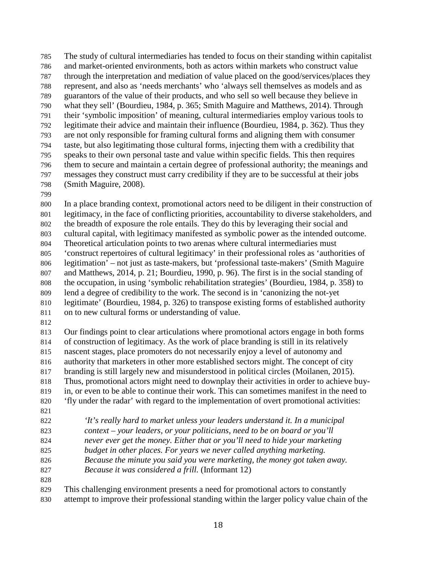The study of cultural intermediaries has tended to focus on their standing within capitalist and market-oriented environments, both as actors within markets who construct value through the interpretation and mediation of value placed on the good/services/places they represent, and also as 'needs merchants' who 'always sell themselves as models and as guarantors of the value of their products, and who sell so well because they believe in what they sell' (Bourdieu, 1984, p. 365; Smith Maguire and Matthews, 2014). Through their 'symbolic imposition' of meaning, cultural intermediaries employ various tools to legitimate their advice and maintain their influence (Bourdieu, 1984, p. 362). Thus they are not only responsible for framing cultural forms and aligning them with consumer taste, but also legitimating those cultural forms, injecting them with a credibility that speaks to their own personal taste and value within specific fields. This then requires them to secure and maintain a certain degree of professional authority; the meanings and messages they construct must carry credibility if they are to be successful at their jobs (Smith Maguire, 2008).

 In a place branding context, promotional actors need to be diligent in their construction of legitimacy, in the face of conflicting priorities, accountability to diverse stakeholders, and the breadth of exposure the role entails. They do this by leveraging their social and cultural capital, with legitimacy manifested as symbolic power as the intended outcome. Theoretical articulation points to two arenas where cultural intermediaries must 'construct repertoires of cultural legitimacy' in their professional roles as 'authorities of legitimation' – not just as taste-makers, but 'professional taste-makers' (Smith Maguire and Matthews, 2014, p. 21; Bourdieu, 1990, p. 96). The first is in the social standing of the occupation, in using 'symbolic rehabilitation strategies' (Bourdieu, 1984, p. 358) to lend a degree of credibility to the work. The second is in 'canonizing the not-yet legitimate' (Bourdieu, 1984, p. 326) to transpose existing forms of established authority on to new cultural forms or understanding of value.

 Our findings point to clear articulations where promotional actors engage in both forms of construction of legitimacy. As the work of place branding is still in its relatively nascent stages, place promoters do not necessarily enjoy a level of autonomy and authority that marketers in other more established sectors might. The concept of city branding is still largely new and misunderstood in political circles (Moilanen, 2015). Thus, promotional actors might need to downplay their activities in order to achieve buy- in, or even to be able to continue their work. This can sometimes manifest in the need to 'fly under the radar' with regard to the implementation of overt promotional activities:

 *'It's really hard to market unless your leaders understand it. In a municipal context – your leaders, or your politicians, need to be on board or you'll never ever get the money. Either that or you'll need to hide your marketing budget in other places. For years we never called anything marketing. Because the minute you said you were marketing, the money got taken away. Because it was considered a frill.* (Informant 12)

 This challenging environment presents a need for promotional actors to constantly attempt to improve their professional standing within the larger policy value chain of the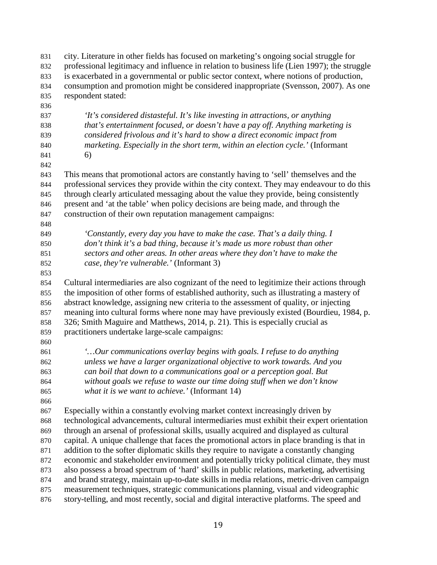city. Literature in other fields has focused on marketing's ongoing social struggle for professional legitimacy and influence in relation to business life (Lien 1997); the struggle is exacerbated in a governmental or public sector context, where notions of production, consumption and promotion might be considered inappropriate (Svensson, 2007). As one respondent stated:

 *'It's considered distasteful. It's like investing in attractions, or anything that's entertainment focused, or doesn't have a pay off. Anything marketing is considered frivolous and it's hard to show a direct economic impact from marketing. Especially in the short term, within an election cycle.'* (Informant 6)

 This means that promotional actors are constantly having to 'sell' themselves and the professional services they provide within the city context. They may endeavour to do this through clearly articulated messaging about the value they provide, being consistently present and 'at the table' when policy decisions are being made, and through the construction of their own reputation management campaigns:

 *'Constantly, every day you have to make the case. That's a daily thing. I don't think it's a bad thing, because it's made us more robust than other sectors and other areas. In other areas where they don't have to make the case, they're vulnerable.'* (Informant 3)

 Cultural intermediaries are also cognizant of the need to legitimize their actions through the imposition of other forms of established authority, such as illustrating a mastery of abstract knowledge, assigning new criteria to the assessment of quality, or injecting meaning into cultural forms where none may have previously existed (Bourdieu, 1984, p. 326; Smith Maguire and Matthews, 2014, p. 21). This is especially crucial as practitioners undertake large-scale campaigns:

 *'…Our communications overlay begins with goals. I refuse to do anything unless we have a larger organizational objective to work towards. And you can boil that down to a communications goal or a perception goal. But without goals we refuse to waste our time doing stuff when we don't know what it is we want to achieve.'* (Informant 14)

 Especially within a constantly evolving market context increasingly driven by technological advancements, cultural intermediaries must exhibit their expert orientation through an arsenal of professional skills, usually acquired and displayed as cultural capital. A unique challenge that faces the promotional actors in place branding is that in addition to the softer diplomatic skills they require to navigate a constantly changing economic and stakeholder environment and potentially tricky political climate, they must also possess a broad spectrum of 'hard' skills in public relations, marketing, advertising and brand strategy, maintain up-to-date skills in media relations, metric-driven campaign measurement techniques, strategic communications planning, visual and videographic story-telling, and most recently, social and digital interactive platforms. The speed and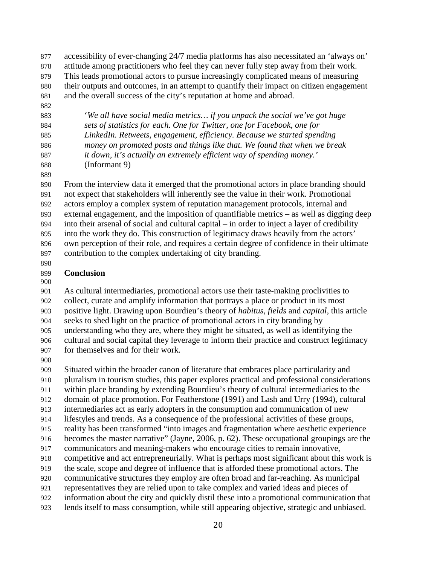accessibility of ever-changing 24/7 media platforms has also necessitated an 'always on' attitude among practitioners who feel they can never fully step away from their work. This leads promotional actors to pursue increasingly complicated means of measuring their outputs and outcomes, in an attempt to quantify their impact on citizen engagement and the overall success of the city's reputation at home and abroad.

 '*We all have social media metrics… if you unpack the social we've got huge sets of statistics for each. One for Twitter, one for Facebook, one for LinkedIn. Retweets, engagement, efficiency. Because we started spending money on promoted posts and things like that. We found that when we break it down, it's actually an extremely efficient way of spending money.'* (Informant 9)

 From the interview data it emerged that the promotional actors in place branding should not expect that stakeholders will inherently see the value in their work. Promotional actors employ a complex system of reputation management protocols, internal and external engagement, and the imposition of quantifiable metrics – as well as digging deep into their arsenal of social and cultural capital – in order to inject a layer of credibility into the work they do. This construction of legitimacy draws heavily from the actors' own perception of their role, and requires a certain degree of confidence in their ultimate contribution to the complex undertaking of city branding.

## **Conclusion**

 As cultural intermediaries, promotional actors use their taste-making proclivities to collect, curate and amplify information that portrays a place or product in its most positive light. Drawing upon Bourdieu's theory of *habitus*, *fields* and *capital*, this article seeks to shed light on the practice of promotional actors in city branding by understanding who they are, where they might be situated, as well as identifying the cultural and social capital they leverage to inform their practice and construct legitimacy for themselves and for their work.

 Situated within the broader canon of literature that embraces place particularity and pluralism in tourism studies, this paper explores practical and professional considerations within place branding by extending Bourdieu's theory of cultural intermediaries to the domain of place promotion. For Featherstone (1991) and Lash and Urry (1994), cultural intermediaries act as early adopters in the consumption and communication of new lifestyles and trends. As a consequence of the professional activities of these groups, reality has been transformed "into images and fragmentation where aesthetic experience becomes the master narrative" (Jayne, 2006, p. 62). These occupational groupings are the communicators and meaning-makers who encourage cities to remain innovative, competitive and act entrepreneurially. What is perhaps most significant about this work is the scale, scope and degree of influence that is afforded these promotional actors. The communicative structures they employ are often broad and far-reaching. As municipal representatives they are relied upon to take complex and varied ideas and pieces of information about the city and quickly distil these into a promotional communication that lends itself to mass consumption, while still appearing objective, strategic and unbiased.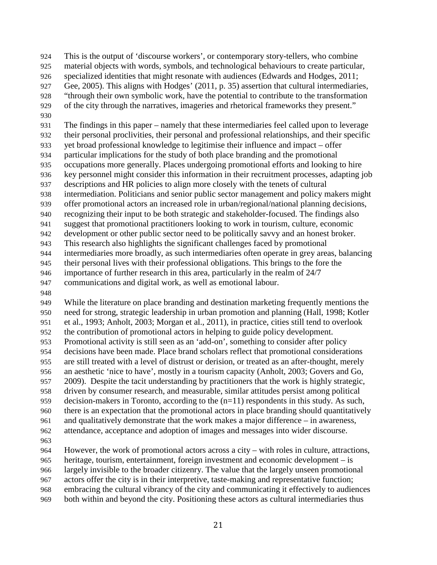- This is the output of 'discourse workers', or contemporary story-tellers, who combine material objects with words, symbols, and technological behaviours to create particular,
- specialized identities that might resonate with audiences (Edwards and Hodges, 2011;
- 
- Gee, 2005). This aligns with Hodges' (2011, p. 35) assertion that cultural intermediaries,
- "through their own symbolic work, have the potential to contribute to the transformation of the city through the narratives, imageries and rhetorical frameworks they present."
- 

 The findings in this paper – namely that these intermediaries feel called upon to leverage their personal proclivities, their personal and professional relationships, and their specific yet broad professional knowledge to legitimise their influence and impact – offer particular implications for the study of both place branding and the promotional occupations more generally. Places undergoing promotional efforts and looking to hire key personnel might consider this information in their recruitment processes, adapting job descriptions and HR policies to align more closely with the tenets of cultural intermediation. Politicians and senior public sector management and policy makers might offer promotional actors an increased role in urban/regional/national planning decisions, recognizing their input to be both strategic and stakeholder-focused. The findings also suggest that promotional practitioners looking to work in tourism, culture, economic development or other public sector need to be politically savvy and an honest broker. This research also highlights the significant challenges faced by promotional intermediaries more broadly, as such intermediaries often operate in grey areas, balancing their personal lives with their professional obligations. This brings to the fore the importance of further research in this area, particularly in the realm of 24/7

communications and digital work, as well as emotional labour.

 While the literature on place branding and destination marketing frequently mentions the need for strong, strategic leadership in urban promotion and planning (Hall, 1998; Kotler et al., 1993; Anholt, 2003; Morgan et al., 2011), in practice, cities still tend to overlook the contribution of promotional actors in helping to guide policy development. Promotional activity is still seen as an 'add-on', something to consider after policy decisions have been made. Place brand scholars reflect that promotional considerations are still treated with a level of distrust or derision, or treated as an after-thought, merely an aesthetic 'nice to have', mostly in a tourism capacity (Anholt, 2003; Govers and Go, 2009). Despite the tacit understanding by practitioners that the work is highly strategic, driven by consumer research, and measurable, similar attitudes persist among political 959 decision-makers in Toronto, according to the  $(n=11)$  respondents in this study. As such, there is an expectation that the promotional actors in place branding should quantitatively and qualitatively demonstrate that the work makes a major difference – in awareness, attendance, acceptance and adoption of images and messages into wider discourse.

 However, the work of promotional actors across a city – with roles in culture, attractions, heritage, tourism, entertainment, foreign investment and economic development – is largely invisible to the broader citizenry. The value that the largely unseen promotional actors offer the city is in their interpretive, taste-making and representative function; embracing the cultural vibrancy of the city and communicating it effectively to audiences

both within and beyond the city. Positioning these actors as cultural intermediaries thus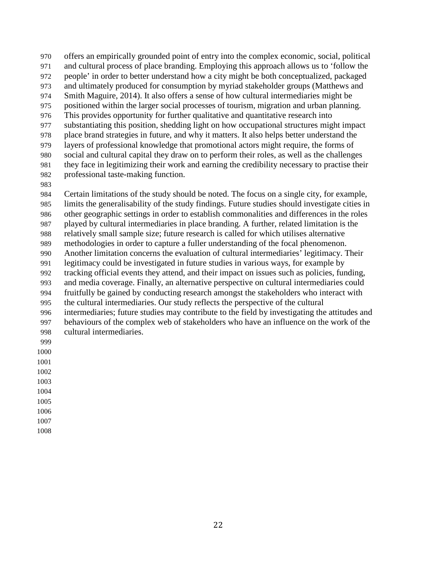offers an empirically grounded point of entry into the complex economic, social, political and cultural process of place branding. Employing this approach allows us to 'follow the people' in order to better understand how a city might be both conceptualized, packaged and ultimately produced for consumption by myriad stakeholder groups (Matthews and Smith Maguire, 2014). It also offers a sense of how cultural intermediaries might be positioned within the larger social processes of tourism, migration and urban planning. This provides opportunity for further qualitative and quantitative research into substantiating this position, shedding light on how occupational structures might impact place brand strategies in future, and why it matters. It also helps better understand the layers of professional knowledge that promotional actors might require, the forms of social and cultural capital they draw on to perform their roles, as well as the challenges they face in legitimizing their work and earning the credibility necessary to practise their professional taste-making function.

 Certain limitations of the study should be noted. The focus on a single city, for example, limits the generalisability of the study findings. Future studies should investigate cities in other geographic settings in order to establish commonalities and differences in the roles played by cultural intermediaries in place branding. A further, related limitation is the relatively small sample size; future research is called for which utilises alternative methodologies in order to capture a fuller understanding of the focal phenomenon. Another limitation concerns the evaluation of cultural intermediaries' legitimacy. Their legitimacy could be investigated in future studies in various ways, for example by tracking official events they attend, and their impact on issues such as policies, funding, and media coverage. Finally, an alternative perspective on cultural intermediaries could fruitfully be gained by conducting research amongst the stakeholders who interact with the cultural intermediaries. Our study reflects the perspective of the cultural intermediaries; future studies may contribute to the field by investigating the attitudes and behaviours of the complex web of stakeholders who have an influence on the work of the cultural intermediaries. 

 

- 
- 
- 
- 
-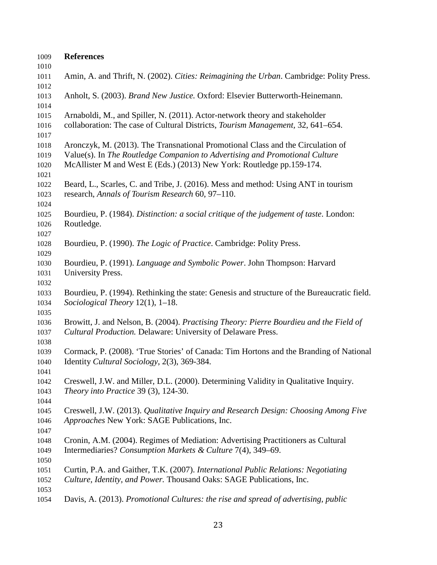| 1009 | <b>References</b>                                                                           |
|------|---------------------------------------------------------------------------------------------|
| 1010 |                                                                                             |
| 1011 | Amin, A. and Thrift, N. (2002). Cities: Reimagining the Urban. Cambridge: Polity Press.     |
| 1012 |                                                                                             |
| 1013 | Anholt, S. (2003). Brand New Justice. Oxford: Elsevier Butterworth-Heinemann.               |
| 1014 |                                                                                             |
| 1015 | Arnaboldi, M., and Spiller, N. (2011). Actor-network theory and stakeholder                 |
| 1016 | collaboration: The case of Cultural Districts, <i>Tourism Management</i> , 32, 641–654.     |
| 1017 |                                                                                             |
| 1018 | Aronczyk, M. (2013). The Transnational Promotional Class and the Circulation of             |
| 1019 | Value(s). In The Routledge Companion to Advertising and Promotional Culture                 |
| 1020 | McAllister M and West E (Eds.) (2013) New York: Routledge pp.159-174.                       |
| 1021 |                                                                                             |
| 1022 | Beard, L., Scarles, C. and Tribe, J. (2016). Mess and method: Using ANT in tourism          |
| 1023 | research, Annals of Tourism Research 60, 97-110.                                            |
| 1024 |                                                                                             |
| 1025 | Bourdieu, P. (1984). Distinction: a social critique of the judgement of taste. London:      |
| 1026 | Routledge.                                                                                  |
| 1027 |                                                                                             |
| 1028 | Bourdieu, P. (1990). The Logic of Practice. Cambridge: Polity Press.                        |
| 1029 |                                                                                             |
| 1030 | Bourdieu, P. (1991). Language and Symbolic Power. John Thompson: Harvard                    |
| 1031 | University Press.                                                                           |
| 1032 |                                                                                             |
| 1033 | Bourdieu, P. (1994). Rethinking the state: Genesis and structure of the Bureaucratic field. |
| 1034 | Sociological Theory $12(1)$ , $1-18$ .                                                      |
| 1035 |                                                                                             |
| 1036 | Browitt, J. and Nelson, B. (2004). Practising Theory: Pierre Bourdieu and the Field of      |
| 1037 | Cultural Production. Delaware: University of Delaware Press.                                |
| 1038 |                                                                                             |
| 1039 | Cormack, P. (2008). 'True Stories' of Canada: Tim Hortons and the Branding of National      |
| 1040 | Identity Cultural Sociology, 2(3), 369-384.                                                 |
| 1041 |                                                                                             |
| 1042 | Creswell, J.W. and Miller, D.L. (2000). Determining Validity in Qualitative Inquiry.        |
| 1043 | Theory into Practice 39 (3), 124-30.                                                        |
| 1044 |                                                                                             |
| 1045 | Creswell, J.W. (2013). Qualitative Inquiry and Research Design: Choosing Among Five         |
| 1046 | Approaches New York: SAGE Publications, Inc.                                                |
| 1047 |                                                                                             |
| 1048 | Cronin, A.M. (2004). Regimes of Mediation: Advertising Practitioners as Cultural            |
| 1049 | Intermediaries? Consumption Markets & Culture 7(4), 349–69.                                 |
| 1050 |                                                                                             |
| 1051 | Curtin, P.A. and Gaither, T.K. (2007). International Public Relations: Negotiating          |
| 1052 | Culture, Identity, and Power. Thousand Oaks: SAGE Publications, Inc.                        |
| 1053 |                                                                                             |
| 1054 | Davis, A. (2013). Promotional Cultures: the rise and spread of advertising, public          |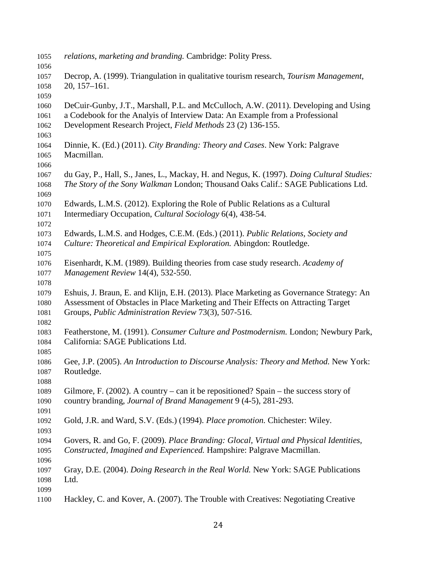| 1055 | relations, marketing and branding. Cambridge: Polity Press.                                   |
|------|-----------------------------------------------------------------------------------------------|
| 1056 |                                                                                               |
| 1057 | Decrop, A. (1999). Triangulation in qualitative tourism research, <i>Tourism Management</i> , |
| 1058 | $20, 157 - 161.$                                                                              |
| 1059 |                                                                                               |
| 1060 | DeCuir-Gunby, J.T., Marshall, P.L. and McCulloch, A.W. (2011). Developing and Using           |
| 1061 | a Codebook for the Analyis of Interview Data: An Example from a Professional                  |
| 1062 | Development Research Project, Field Methods 23 (2) 136-155.                                   |
| 1063 |                                                                                               |
| 1064 | Dinnie, K. (Ed.) (2011). City Branding: Theory and Cases. New York: Palgrave                  |
| 1065 | Macmillan.                                                                                    |
| 1066 |                                                                                               |
| 1067 | du Gay, P., Hall, S., Janes, L., Mackay, H. and Negus, K. (1997). Doing Cultural Studies:     |
| 1068 | The Story of the Sony Walkman London; Thousand Oaks Calif.: SAGE Publications Ltd.            |
| 1069 |                                                                                               |
| 1070 | Edwards, L.M.S. (2012). Exploring the Role of Public Relations as a Cultural                  |
| 1071 | Intermediary Occupation, <i>Cultural Sociology</i> 6(4), 438-54.                              |
| 1072 |                                                                                               |
| 1073 | Edwards, L.M.S. and Hodges, C.E.M. (Eds.) (2011). Public Relations, Society and               |
| 1074 | Culture: Theoretical and Empirical Exploration. Abingdon: Routledge.                          |
| 1075 |                                                                                               |
| 1076 | Eisenhardt, K.M. (1989). Building theories from case study research. Academy of               |
| 1077 | Management Review 14(4), 532-550.                                                             |
| 1078 |                                                                                               |
| 1079 | Eshuis, J. Braun, E. and Klijn, E.H. (2013). Place Marketing as Governance Strategy: An       |
| 1080 | Assessment of Obstacles in Place Marketing and Their Effects on Attracting Target             |
| 1081 | Groups, Public Administration Review 73(3), 507-516.                                          |
| 1082 |                                                                                               |
| 1083 | Featherstone, M. (1991). Consumer Culture and Postmodernism. London; Newbury Park,            |
| 1084 | California: SAGE Publications Ltd.                                                            |
| 1085 |                                                                                               |
| 1086 | Gee, J.P. (2005). An Introduction to Discourse Analysis: Theory and Method. New York:         |
| 1087 | Routledge.                                                                                    |
| 1088 |                                                                                               |
| 1089 | Gilmore, F. (2002). A country – can it be repositioned? Spain – the success story of          |
| 1090 | country branding, Journal of Brand Management 9 (4-5), 281-293.                               |
| 1091 |                                                                                               |
| 1092 | Gold, J.R. and Ward, S.V. (Eds.) (1994). Place promotion. Chichester: Wiley.                  |
| 1093 |                                                                                               |
| 1094 | Govers, R. and Go, F. (2009). Place Branding: Glocal, Virtual and Physical Identities,        |
| 1095 | Constructed, Imagined and Experienced. Hampshire: Palgrave Macmillan.                         |
| 1096 |                                                                                               |
| 1097 | Gray, D.E. (2004). <i>Doing Research in the Real World</i> . New York: SAGE Publications      |
| 1098 | Ltd.                                                                                          |
| 1099 |                                                                                               |
| 1100 | Hackley, C. and Kover, A. (2007). The Trouble with Creatives: Negotiating Creative            |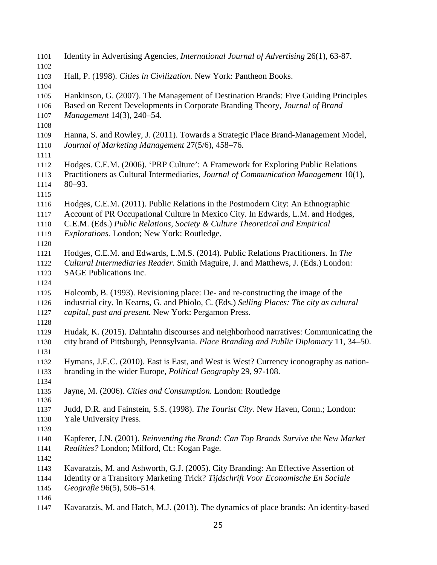| 1101 | Identity in Advertising Agencies, International Journal of Advertising 26(1), 63-87.      |
|------|-------------------------------------------------------------------------------------------|
| 1102 |                                                                                           |
| 1103 | Hall, P. (1998). Cities in Civilization. New York: Pantheon Books.                        |
| 1104 |                                                                                           |
| 1105 | Hankinson, G. (2007). The Management of Destination Brands: Five Guiding Principles       |
| 1106 | Based on Recent Developments in Corporate Branding Theory, Journal of Brand               |
| 1107 | Management 14(3), 240-54.                                                                 |
| 1108 |                                                                                           |
| 1109 | Hanna, S. and Rowley, J. (2011). Towards a Strategic Place Brand-Management Model,        |
| 1110 | Journal of Marketing Management 27(5/6), 458-76.                                          |
| 1111 |                                                                                           |
| 1112 | Hodges. C.E.M. (2006). 'PRP Culture': A Framework for Exploring Public Relations          |
| 1113 | Practitioners as Cultural Intermediaries, Journal of Communication Management 10(1),      |
| 1114 | $80 - 93.$                                                                                |
| 1115 |                                                                                           |
| 1116 | Hodges, C.E.M. (2011). Public Relations in the Postmodern City: An Ethnographic           |
| 1117 | Account of PR Occupational Culture in Mexico City. In Edwards, L.M. and Hodges,           |
| 1118 | C.E.M. (Eds.) Public Relations, Society & Culture Theoretical and Empirical               |
| 1119 | Explorations. London; New York: Routledge.                                                |
| 1120 |                                                                                           |
| 1121 | Hodges, C.E.M. and Edwards, L.M.S. (2014). Public Relations Practitioners. In The         |
| 1122 | Cultural Intermediaries Reader. Smith Maguire, J. and Matthews, J. (Eds.) London:         |
| 1123 | <b>SAGE Publications Inc.</b>                                                             |
| 1124 |                                                                                           |
| 1125 | Holcomb, B. (1993). Revisioning place: De- and re-constructing the image of the           |
| 1126 | industrial city. In Kearns, G. and Phiolo, C. (Eds.) Selling Places: The city as cultural |
| 1127 | capital, past and present. New York: Pergamon Press.                                      |
| 1128 |                                                                                           |
| 1129 | Hudak, K. (2015). Dahntahn discourses and neighborhood narratives: Communicating the      |
| 1130 | city brand of Pittsburgh, Pennsylvania. Place Branding and Public Diplomacy 11, 34-50.    |
| 1131 |                                                                                           |
| 1132 | Hymans, J.E.C. (2010). East is East, and West is West? Currency iconography as nation-    |
| 1133 | branding in the wider Europe, <i>Political Geography</i> 29, 97-108.                      |
| 1134 |                                                                                           |
| 1135 | Jayne, M. (2006). Cities and Consumption. London: Routledge                               |
| 1136 |                                                                                           |
| 1137 | Judd, D.R. and Fainstein, S.S. (1998). The Tourist City. New Haven, Conn.; London:        |
| 1138 | Yale University Press.                                                                    |
| 1139 |                                                                                           |
| 1140 | Kapferer, J.N. (2001). Reinventing the Brand: Can Top Brands Survive the New Market       |
| 1141 | Realities? London; Milford, Ct.: Kogan Page.                                              |
| 1142 |                                                                                           |
| 1143 | Kavaratzis, M. and Ashworth, G.J. (2005). City Branding: An Effective Assertion of        |
| 1144 | Identity or a Transitory Marketing Trick? Tijdschrift Voor Economische En Sociale         |
| 1145 | Geografie 96(5), 506-514.                                                                 |
| 1146 |                                                                                           |
| 1147 | Kavaratzis, M. and Hatch, M.J. (2013). The dynamics of place brands: An identity-based    |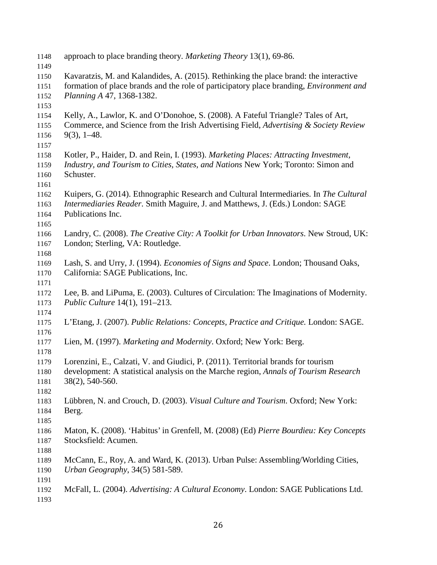| 1148 | approach to place branding theory. Marketing Theory 13(1), 69-86.                       |
|------|-----------------------------------------------------------------------------------------|
| 1149 |                                                                                         |
| 1150 | Kavaratzis, M. and Kalandides, A. (2015). Rethinking the place brand: the interactive   |
| 1151 | formation of place brands and the role of participatory place branding, Environment and |
| 1152 | Planning A 47, 1368-1382.                                                               |
| 1153 |                                                                                         |
| 1154 | Kelly, A., Lawlor, K. and O'Donohoe, S. (2008). A Fateful Triangle? Tales of Art,       |
| 1155 | Commerce, and Science from the Irish Advertising Field, Advertising & Society Review    |
| 1156 | $9(3)$ , 1–48.                                                                          |
| 1157 |                                                                                         |
| 1158 | Kotler, P., Haider, D. and Rein, I. (1993). Marketing Places: Attracting Investment,    |
| 1159 | Industry, and Tourism to Cities, States, and Nations New York; Toronto: Simon and       |
| 1160 | Schuster.                                                                               |
| 1161 |                                                                                         |
| 1162 | Kuipers, G. (2014). Ethnographic Research and Cultural Intermediaries. In The Cultural  |
| 1163 | Intermediaries Reader. Smith Maguire, J. and Matthews, J. (Eds.) London: SAGE           |
| 1164 | Publications Inc.                                                                       |
| 1165 |                                                                                         |
| 1166 | Landry, C. (2008). The Creative City: A Toolkit for Urban Innovators. New Stroud, UK:   |
| 1167 | London; Sterling, VA: Routledge.                                                        |
| 1168 |                                                                                         |
| 1169 | Lash, S. and Urry, J. (1994). Economies of Signs and Space. London; Thousand Oaks,      |
| 1170 | California: SAGE Publications, Inc.                                                     |
| 1171 |                                                                                         |
| 1172 | Lee, B. and LiPuma, E. (2003). Cultures of Circulation: The Imaginations of Modernity.  |
| 1173 | Public Culture 14(1), 191-213.                                                          |
| 1174 |                                                                                         |
| 1175 | L'Etang, J. (2007). Public Relations: Concepts, Practice and Critique. London: SAGE.    |
| 1176 |                                                                                         |
| 1177 | Lien, M. (1997). Marketing and Modernity. Oxford; New York: Berg.                       |
| 1178 |                                                                                         |
| 1179 | Lorenzini, E., Calzati, V. and Giudici, P. (2011). Territorial brands for tourism       |
| 1180 | development: A statistical analysis on the Marche region, Annals of Tourism Research    |
| 1181 | $38(2)$ , 540-560.                                                                      |
| 1182 |                                                                                         |
| 1183 | Lübbren, N. and Crouch, D. (2003). Visual Culture and Tourism. Oxford; New York:        |
| 1184 | Berg.                                                                                   |
| 1185 |                                                                                         |
| 1186 | Maton, K. (2008). 'Habitus' in Grenfell, M. (2008) (Ed) Pierre Bourdieu: Key Concepts   |
| 1187 | Stocksfield: Acumen.                                                                    |
| 1188 |                                                                                         |
| 1189 | McCann, E., Roy, A. and Ward, K. (2013). Urban Pulse: Assembling/Worlding Cities,       |
| 1190 | Urban Geography, 34(5) 581-589.                                                         |
| 1191 |                                                                                         |
| 1192 | McFall, L. (2004). Advertising: A Cultural Economy. London: SAGE Publications Ltd.      |
| 1193 |                                                                                         |
|      |                                                                                         |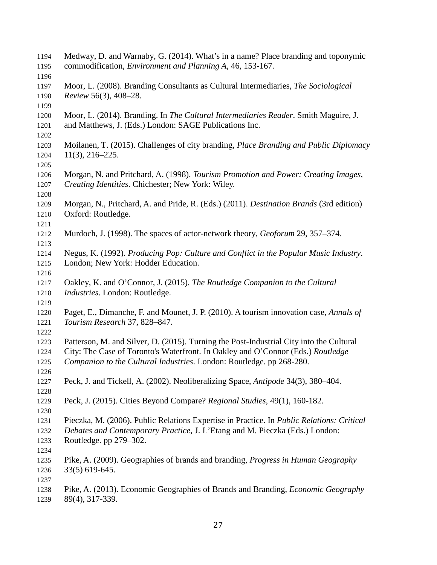| 1194<br>1195                 | Medway, D. and Warnaby, G. (2014). What's in a name? Place branding and toponymic<br>commodification, <i>Environment and Planning A</i> , 46, 153-167.                                                                                             |
|------------------------------|----------------------------------------------------------------------------------------------------------------------------------------------------------------------------------------------------------------------------------------------------|
| 1196<br>1197<br>1198         | Moor, L. (2008). Branding Consultants as Cultural Intermediaries, The Sociological<br>Review 56(3), 408-28.                                                                                                                                        |
| 1199                         |                                                                                                                                                                                                                                                    |
| 1200<br>1201                 | Moor, L. (2014). Branding. In The Cultural Intermediaries Reader. Smith Maguire, J.<br>and Matthews, J. (Eds.) London: SAGE Publications Inc.                                                                                                      |
| 1202                         |                                                                                                                                                                                                                                                    |
| 1203<br>1204                 | Moilanen, T. (2015). Challenges of city branding, <i>Place Branding and Public Diplomacy</i><br>$11(3)$ , $216-225$ .                                                                                                                              |
| 1205<br>1206<br>1207         | Morgan, N. and Pritchard, A. (1998). Tourism Promotion and Power: Creating Images,<br>Creating Identities. Chichester; New York: Wiley.                                                                                                            |
| 1208<br>1209<br>1210         | Morgan, N., Pritchard, A. and Pride, R. (Eds.) (2011). Destination Brands (3rd edition)<br>Oxford: Routledge.                                                                                                                                      |
| 1211<br>1212<br>1213         | Murdoch, J. (1998). The spaces of actor-network theory, Geoforum 29, 357–374.                                                                                                                                                                      |
| 1214<br>1215                 | Negus, K. (1992). Producing Pop: Culture and Conflict in the Popular Music Industry.<br>London; New York: Hodder Education.                                                                                                                        |
| 1216                         |                                                                                                                                                                                                                                                    |
| 1217<br>1218                 | Oakley, K. and O'Connor, J. (2015). The Routledge Companion to the Cultural<br>Industries. London: Routledge.                                                                                                                                      |
| 1219<br>1220<br>1221<br>1222 | Paget, E., Dimanche, F. and Mounet, J. P. (2010). A tourism innovation case, Annals of<br>Tourism Research 37, 828-847.                                                                                                                            |
| 1223<br>1224<br>1225         | Patterson, M. and Silver, D. (2015). Turning the Post-Industrial City into the Cultural<br>City: The Case of Toronto's Waterfront. In Oakley and O'Connor (Eds.) Routledge<br>Companion to the Cultural Industries. London: Routledge. pp 268-280. |
| 1226<br>1227<br>1228         | Peck, J. and Tickell, A. (2002). Neoliberalizing Space, <i>Antipode</i> 34(3), 380–404.                                                                                                                                                            |
| 1229<br>1230                 | Peck, J. (2015). Cities Beyond Compare? Regional Studies, 49(1), 160-182.                                                                                                                                                                          |
| 1231<br>1232<br>1233<br>1234 | Pieczka, M. (2006). Public Relations Expertise in Practice. In <i>Public Relations: Critical</i><br>Debates and Contemporary Practice, J. L'Etang and M. Pieczka (Eds.) London:<br>Routledge. pp 279–302.                                          |
| 1235<br>1236<br>1237         | Pike, A. (2009). Geographies of brands and branding, Progress in Human Geography<br>33(5) 619-645.                                                                                                                                                 |
| 1238<br>1239                 | Pike, A. (2013). Economic Geographies of Brands and Branding, <i>Economic Geography</i><br>89(4), 317-339.                                                                                                                                         |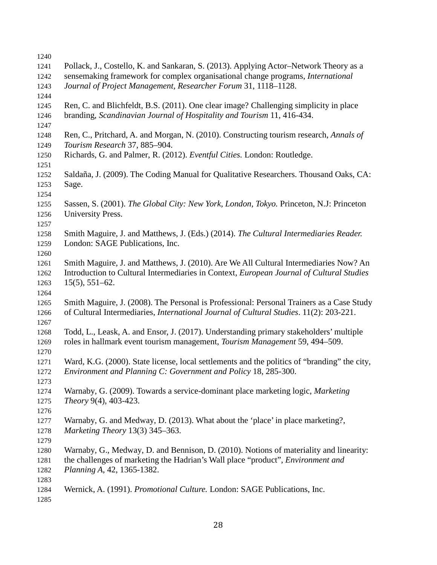| 1240 |                                                                                              |  |  |  |  |  |
|------|----------------------------------------------------------------------------------------------|--|--|--|--|--|
| 1241 | Pollack, J., Costello, K. and Sankaran, S. (2013). Applying Actor-Network Theory as a        |  |  |  |  |  |
| 1242 | sensemaking framework for complex organisational change programs, International              |  |  |  |  |  |
| 1243 | Journal of Project Management, Researcher Forum 31, 1118-1128.                               |  |  |  |  |  |
| 1244 |                                                                                              |  |  |  |  |  |
| 1245 | Ren, C. and Blichfeldt, B.S. (2011). One clear image? Challenging simplicity in place        |  |  |  |  |  |
| 1246 | branding, Scandinavian Journal of Hospitality and Tourism 11, 416-434.                       |  |  |  |  |  |
| 1247 |                                                                                              |  |  |  |  |  |
| 1248 | Ren, C., Pritchard, A. and Morgan, N. (2010). Constructing tourism research, Annals of       |  |  |  |  |  |
| 1249 | Tourism Research 37, 885-904.                                                                |  |  |  |  |  |
| 1250 | Richards, G. and Palmer, R. (2012). Eventful Cities. London: Routledge.                      |  |  |  |  |  |
| 1251 |                                                                                              |  |  |  |  |  |
| 1252 | Saldaña, J. (2009). The Coding Manual for Qualitative Researchers. Thousand Oaks, CA:        |  |  |  |  |  |
| 1253 | Sage.                                                                                        |  |  |  |  |  |
| 1254 |                                                                                              |  |  |  |  |  |
| 1255 | Sassen, S. (2001). The Global City: New York, London, Tokyo. Princeton, N.J: Princeton       |  |  |  |  |  |
| 1256 | University Press.                                                                            |  |  |  |  |  |
| 1257 |                                                                                              |  |  |  |  |  |
| 1258 | Smith Maguire, J. and Matthews, J. (Eds.) (2014). The Cultural Intermediaries Reader.        |  |  |  |  |  |
| 1259 | London: SAGE Publications, Inc.                                                              |  |  |  |  |  |
| 1260 |                                                                                              |  |  |  |  |  |
| 1261 | Smith Maguire, J. and Matthews, J. (2010). Are We All Cultural Intermediaries Now? An        |  |  |  |  |  |
| 1262 | Introduction to Cultural Intermediaries in Context, European Journal of Cultural Studies     |  |  |  |  |  |
| 1263 | $15(5)$ , $551-62$ .                                                                         |  |  |  |  |  |
| 1264 |                                                                                              |  |  |  |  |  |
| 1265 | Smith Maguire, J. (2008). The Personal is Professional: Personal Trainers as a Case Study    |  |  |  |  |  |
| 1266 | of Cultural Intermediaries, International Journal of Cultural Studies. 11(2): 203-221.       |  |  |  |  |  |
| 1267 |                                                                                              |  |  |  |  |  |
| 1268 | Todd, L., Leask, A. and Ensor, J. (2017). Understanding primary stakeholders' multiple       |  |  |  |  |  |
| 1269 | roles in hallmark event tourism management, <i>Tourism Management</i> 59, 494–509.           |  |  |  |  |  |
| 1270 |                                                                                              |  |  |  |  |  |
| 1271 | Ward, K.G. (2000). State license, local settlements and the politics of "branding" the city, |  |  |  |  |  |
| 1272 | Environment and Planning C: Government and Policy 18, 285-300.                               |  |  |  |  |  |
| 1273 |                                                                                              |  |  |  |  |  |
| 1274 | Warnaby, G. (2009). Towards a service-dominant place marketing logic, Marketing              |  |  |  |  |  |
| 1275 | Theory 9(4), 403-423.                                                                        |  |  |  |  |  |
| 1276 |                                                                                              |  |  |  |  |  |
| 1277 | Warnaby, G. and Medway, D. (2013). What about the 'place' in place marketing?,               |  |  |  |  |  |
| 1278 | Marketing Theory 13(3) 345–363.                                                              |  |  |  |  |  |
| 1279 |                                                                                              |  |  |  |  |  |
| 1280 | Warnaby, G., Medway, D. and Bennison, D. (2010). Notions of materiality and linearity:       |  |  |  |  |  |
| 1281 | the challenges of marketing the Hadrian's Wall place "product", <i>Environment and</i>       |  |  |  |  |  |
| 1282 | Planning A, 42, 1365-1382.                                                                   |  |  |  |  |  |
| 1283 |                                                                                              |  |  |  |  |  |
| 1284 | Wernick, A. (1991). Promotional Culture. London: SAGE Publications, Inc.                     |  |  |  |  |  |
| 1285 |                                                                                              |  |  |  |  |  |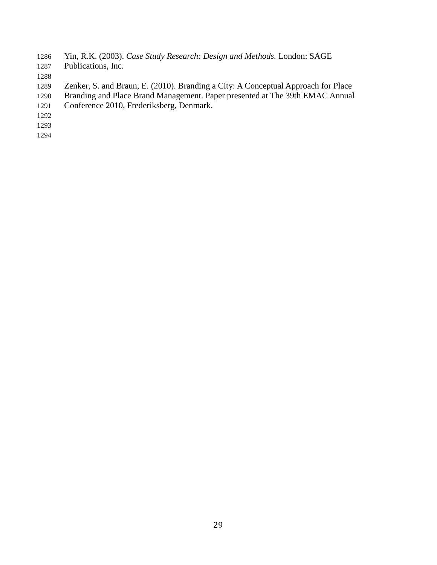- Yin, R.K. (2003). *Case Study Research: Design and Methods.* London: SAGE
- Publications, Inc.
- 
- Zenker, S. and Braun, E. (2010). Branding a City: A Conceptual Approach for Place
- Branding and Place Brand Management. Paper presented at The 39th EMAC Annual
- Conference 2010, Frederiksberg, Denmark.
- 
- 
-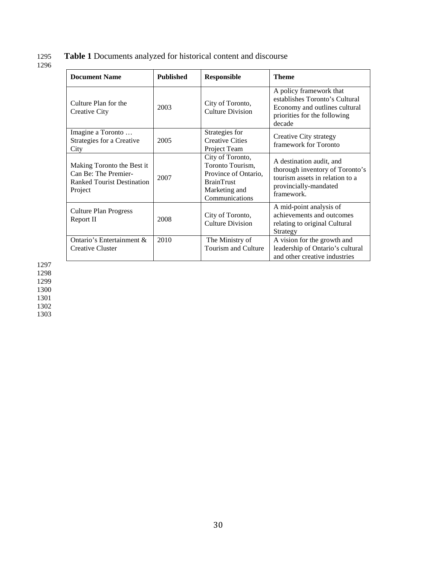#### 1295 **Table 1** Documents analyzed for historical content and discourse 1296

| <b>Document Name</b>                                                                               | <b>Published</b> | <b>Responsible</b>                                                                                                   | <b>Theme</b>                                                                                                                          |
|----------------------------------------------------------------------------------------------------|------------------|----------------------------------------------------------------------------------------------------------------------|---------------------------------------------------------------------------------------------------------------------------------------|
| Culture Plan for the<br>Creative City                                                              | 2003             | City of Toronto,<br><b>Culture Division</b>                                                                          | A policy framework that<br>establishes Toronto's Cultural<br>Economy and outlines cultural<br>priorities for the following<br>decade  |
| Imagine a Toronto<br>Strategies for a Creative<br>City                                             | 2005             | Strategies for<br><b>Creative Cities</b><br>Project Team                                                             | Creative City strategy<br>framework for Toronto                                                                                       |
| Making Toronto the Best it<br>Can Be: The Premier-<br><b>Ranked Tourist Destination</b><br>Project | 2007             | City of Toronto,<br>Toronto Tourism,<br>Province of Ontario,<br><b>BrainTrust</b><br>Marketing and<br>Communications | A destination audit, and<br>thorough inventory of Toronto's<br>tourism assets in relation to a<br>provincially-mandated<br>framework. |
| <b>Culture Plan Progress</b><br>Report II                                                          | 2008             | City of Toronto,<br><b>Culture Division</b>                                                                          | A mid-point analysis of<br>achievements and outcomes<br>relating to original Cultural<br>Strategy                                     |
| Ontario's Entertainment &<br>Creative Cluster                                                      | 2010             | The Ministry of<br>Tourism and Culture                                                                               | A vision for the growth and<br>leadership of Ontario's cultural<br>and other creative industries                                      |

1297

1298

1299

1300

1301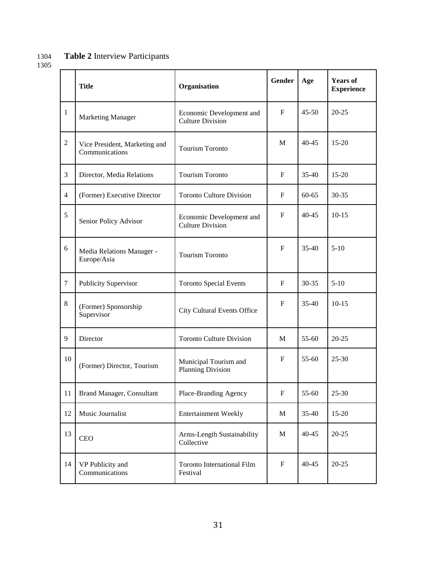## 1304 **Table 2** Interview Participants 1304<br>1305

|                | <b>Title</b>                                    | Organisation                                        | <b>Gender</b> | Age       | <b>Years of</b><br><b>Experience</b> |
|----------------|-------------------------------------------------|-----------------------------------------------------|---------------|-----------|--------------------------------------|
| 1              | <b>Marketing Manager</b>                        | Economic Development and<br><b>Culture Division</b> | $\mathbf{F}$  | $45 - 50$ | $20 - 25$                            |
| $\overline{2}$ | Vice President, Marketing and<br>Communications | <b>Tourism Toronto</b>                              | M             | $40 - 45$ | $15-20$                              |
| 3              | Director, Media Relations                       | <b>Tourism Toronto</b>                              | F             | $35-40$   | $15 - 20$                            |
| $\overline{4}$ | (Former) Executive Director                     | <b>Toronto Culture Division</b>                     | F             | $60 - 65$ | $30 - 35$                            |
| 5              | Senior Policy Advisor                           | Economic Development and<br><b>Culture Division</b> | $\mathbf{F}$  | $40 - 45$ | $10 - 15$                            |
| 6              | Media Relations Manager -<br>Europe/Asia        | <b>Tourism Toronto</b>                              | F             | $35 - 40$ | $5 - 10$                             |
| $\tau$         | <b>Publicity Supervisor</b>                     | <b>Toronto Special Events</b>                       | F             | $30 - 35$ | $5-10$                               |
| 8              | (Former) Sponsorship<br>Supervisor              | <b>City Cultural Events Office</b>                  | F             | $35-40$   | $10-15$                              |
| 9              | Director                                        | <b>Toronto Culture Division</b>                     | M             | 55-60     | $20 - 25$                            |
| 10             | (Former) Director, Tourism                      | Municipal Tourism and<br><b>Planning Division</b>   | F             | 55-60     | $25 - 30$                            |
| 11             | Brand Manager, Consultant                       | Place-Branding Agency                               | F             | 55-60     | 25-30                                |
| 12             | Music Journalist                                | <b>Entertainment Weekly</b>                         | $\mathbf M$   | $35-40$   | $15 - 20$                            |
| 13             | CEO                                             | Arms-Length Sustainability<br>Collective            | M             | $40 - 45$ | $20 - 25$                            |
| 14             | VP Publicity and<br>Communications              | Toronto International Film<br>Festival              | $\mathbf F$   | $40 - 45$ | $20 - 25$                            |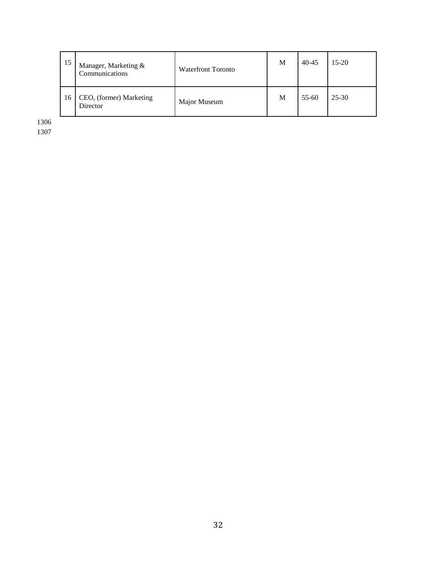| 15 | Manager, Marketing &<br>Communications | Waterfront Toronto | M | $40 - 45$ | 15-20     |
|----|----------------------------------------|--------------------|---|-----------|-----------|
| 16 | CEO, (former) Marketing<br>Director    | Major Museum       | M | $55 - 60$ | $25 - 30$ |